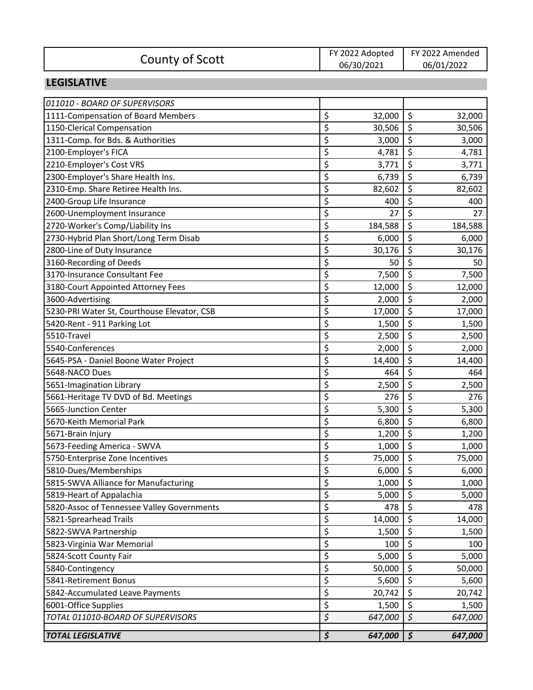|                 | FY 2022 Adopted | FY 2022 Amended |
|-----------------|-----------------|-----------------|
| County of Scott | 06/30/2021      | 06/01/2022      |

#### **LEGISLATIVE**

| <b>TOTAL LEGISLATIVE</b>                    | $\overline{\boldsymbol{\zeta}}$ | 647,000 | $\overline{\boldsymbol{\zeta}}$ | 647,000 |
|---------------------------------------------|---------------------------------|---------|---------------------------------|---------|
| TOTAL 011010-BOARD OF SUPERVISORS           | \$                              | 647,000 | $\zeta$                         | 647,000 |
| 6001-Office Supplies                        | \$                              | 1,500   | \$                              | 1,500   |
| 5842-Accumulated Leave Payments             | \$                              | 20,742  | \$                              | 20,742  |
| 5841-Retirement Bonus                       | \$                              | 5,600   | \$                              | 5,600   |
| 5840-Contingency                            | \$                              | 50,000  | \$                              | 50,000  |
| 5824-Scott County Fair                      | \$                              | 5,000   | \$                              | 5,000   |
| 5823-Virginia War Memorial                  | \$                              | 100     | \$                              | 100     |
| 5822-SWVA Partnership                       | \$                              | 1,500   | \$                              | 1,500   |
| 5821-Sprearhead Trails                      | \$                              | 14,000  | \$                              | 14,000  |
| 5820-Assoc of Tennessee Valley Governments  | \$                              | 478     | \$                              | 478     |
| 5819-Heart of Appalachia                    | \$                              | 5,000   | $\overline{\xi}$                | 5,000   |
| 5815-SWVA Alliance for Manufacturing        | ሩ                               | 1,000   | $\mathfrak{S}$                  | 1,000   |
| 5810-Dues/Memberships                       | \$                              | 6,000   | \$                              | 6,000   |
| 5750-Enterprise Zone Incentives             | \$                              | 75,000  | \$                              | 75,000  |
| 5673-Feeding America - SWVA                 | \$                              | 1,000   | \$                              | 1,000   |
| 5671-Brain Injury                           | \$                              | 1,200   | \$                              | 1,200   |
| 5670-Keith Memorial Park                    | \$                              | 6,800   | \$                              | 6,800   |
| 5665-Junction Center                        | \$                              | 5,300   | \$                              | 5,300   |
| 5661-Heritage TV DVD of Bd. Meetings        | \$                              | 276     | \$                              | 276     |
| 5651-Imagination Library                    | \$                              | 2,500   | \$                              | 2,500   |
| 5648-NACO Dues                              | \$                              | 464     | \$                              | 464     |
| 5645-PSA - Daniel Boone Water Project       | \$                              | 14,400  | \$                              | 14,400  |
| 5540-Conferences                            | \$                              | 2,000   | \$                              | 2,000   |
| 5510-Travel                                 | \$                              | 2,500   | \$                              | 2,500   |
| 5420-Rent - 911 Parking Lot                 | \$                              | 1,500   | \$                              | 1,500   |
| 5230-PRI Water St, Courthouse Elevator, CSB | \$                              | 17,000  | \$                              | 17,000  |
| 3600-Advertising                            | \$                              | 2,000   | \$                              | 2,000   |
| 3180-Court Appointed Attorney Fees          | \$                              | 12,000  | \$                              | 12,000  |
| 3170-Insurance Consultant Fee               | \$                              | 7,500   | $\overline{\xi}$                | 7,500   |
| 3160-Recording of Deeds                     | \$                              | 50      | \$                              | 50      |
| 2800-Line of Duty Insurance                 | \$                              | 30,176  | \$                              | 30,176  |
| 2730-Hybrid Plan Short/Long Term Disab      | \$                              | 6,000   | \$                              | 6,000   |
| 2720-Worker's Comp/Liability Ins            | \$                              | 184,588 | \$                              | 184,588 |
| 2600-Unemployment Insurance                 | \$                              | 27      | \$                              | 27      |
| 2400-Group Life Insurance                   | \$                              | 400     | \$                              | 400     |
| 2310-Emp. Share Retiree Health Ins.         | \$                              | 82,602  | \$                              | 82,602  |
| 2300-Employer's Share Health Ins.           | \$                              | 6,739   | \$                              | 6,739   |
| 2210-Employer's Cost VRS                    | \$                              | 3,771   | \$                              | 3,771   |
| 2100-Employer's FICA                        | \$                              | 4,781   | \$                              | 4,781   |
| 1311-Comp. for Bds. & Authorities           | \$                              | 3,000   | \$                              | 3,000   |
| 1150-Clerical Compensation                  | \$                              | 30,506  | $\overline{\xi}$                | 30,506  |
| 1111-Compensation of Board Members          | \$                              | 32,000  | \$                              | 32,000  |
| 011010 - BOARD OF SUPERVISORS               |                                 |         |                                 |         |
|                                             |                                 |         |                                 |         |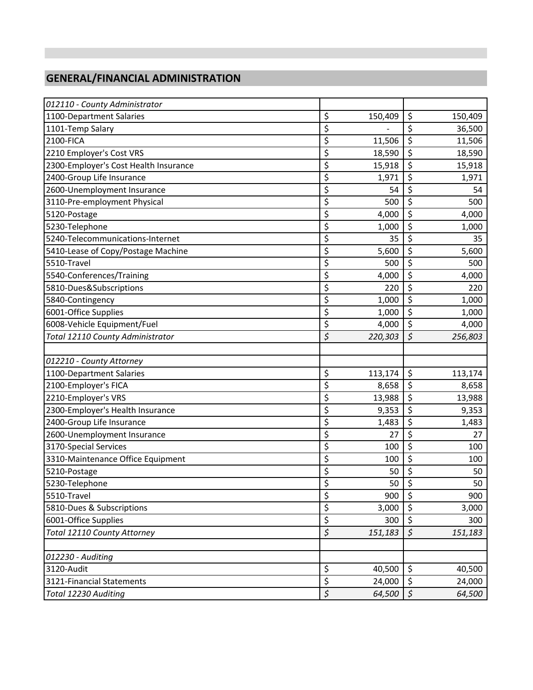### **GENERAL/FINANCIAL ADMINISTRATION**

| 012110 - County Administrator         |                  |         |                                 |         |
|---------------------------------------|------------------|---------|---------------------------------|---------|
| 1100-Department Salaries              | \$               | 150,409 | \$                              | 150,409 |
| 1101-Temp Salary                      | \$               |         | $\overline{\xi}$                | 36,500  |
| 2100-FICA                             | \$               | 11,506  | \$                              | 11,506  |
| 2210 Employer's Cost VRS              | \$               | 18,590  | $\overline{\xi}$                | 18,590  |
| 2300-Employer's Cost Health Insurance | \$               | 15,918  | $\overline{\boldsymbol{\zeta}}$ | 15,918  |
| 2400-Group Life Insurance             | \$               | 1,971   | \$                              | 1,971   |
| 2600-Unemployment Insurance           | \$               | 54      | \$                              | 54      |
| 3110-Pre-employment Physical          | \$               | 500     | \$                              | 500     |
| 5120-Postage                          | \$               | 4,000   | $\overline{\xi}$                | 4,000   |
| 5230-Telephone                        | \$               | 1,000   | \$                              | 1,000   |
| 5240-Telecommunications-Internet      | \$               | 35      | \$                              | 35      |
| 5410-Lease of Copy/Postage Machine    | \$               | 5,600   | \$                              | 5,600   |
| 5510-Travel                           | \$               | 500     | \$                              | 500     |
| 5540-Conferences/Training             | \$               | 4,000   | \$                              | 4,000   |
| 5810-Dues&Subscriptions               | \$               | 220     | \$                              | 220     |
| 5840-Contingency                      | \$               | 1,000   | $\overline{\xi}$                | 1,000   |
| 6001-Office Supplies                  | \$               | 1,000   | \$                              | 1,000   |
| 6008-Vehicle Equipment/Fuel           | \$               | 4,000   | $\overline{\xi}$                | 4,000   |
| Total 12110 County Administrator      | \$               | 220,303 | $\overline{\xi}$                | 256,803 |
|                                       |                  |         |                                 |         |
| 012210 - County Attorney              |                  |         |                                 |         |
| 1100-Department Salaries              | \$               | 113,174 | \$                              | 113,174 |
| 2100-Employer's FICA                  | \$               | 8,658   | \$                              | 8,658   |
| 2210-Employer's VRS                   | \$               | 13,988  | \$                              | 13,988  |
| 2300-Employer's Health Insurance      | \$               | 9,353   | $\overline{\boldsymbol{\zeta}}$ | 9,353   |
| 2400-Group Life Insurance             | \$               | 1,483   | \$                              | 1,483   |
| 2600-Unemployment Insurance           | \$               | 27      | $\overline{\xi}$                | 27      |
| 3170-Special Services                 | \$               | 100     | \$                              | 100     |
| 3310-Maintenance Office Equipment     | \$               | 100     | \$                              | 100     |
| 5210-Postage                          | \$               | 50      | \$                              | 50      |
| 5230-Telephone                        | \$               | 50      | $\overline{\xi}$                | 50      |
| 5510-Travel                           | \$               | 900     | \$                              | 900     |
| 5810-Dues & Subscriptions             | \$               | 3,000   | \$                              | 3,000   |
| 6001-Office Supplies                  | \$               | 300     | \$                              | 300     |
| Total 12110 County Attorney           | \$               | 151,183 | $\boldsymbol{\zeta}$            | 151,183 |
|                                       |                  |         |                                 |         |
| 012230 - Auditing                     |                  |         |                                 |         |
| 3120-Audit                            | \$               | 40,500  | \$                              | 40,500  |
| 3121-Financial Statements             | \$               | 24,000  | \$                              | 24,000  |
| Total 12230 Auditing                  | $\overline{\xi}$ | 64,500  | $\overline{\mathcal{L}}$        | 64,500  |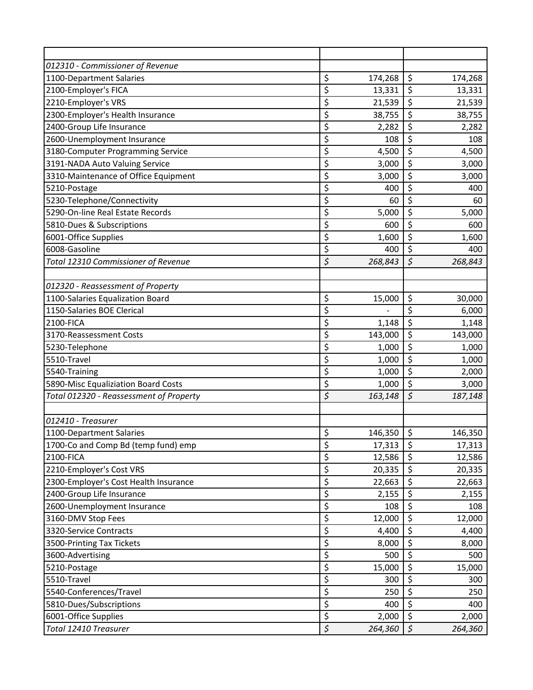| 012310 - Commissioner of Revenue        |                  |         |                         |         |
|-----------------------------------------|------------------|---------|-------------------------|---------|
| 1100-Department Salaries                | \$               | 174,268 | \$                      | 174,268 |
| 2100-Employer's FICA                    | \$               | 13,331  | \$                      | 13,331  |
| 2210-Employer's VRS                     | \$               | 21,539  | \$                      | 21,539  |
| 2300-Employer's Health Insurance        | \$               | 38,755  | \$                      | 38,755  |
| 2400-Group Life Insurance               | \$               | 2,282   | \$                      | 2,282   |
| 2600-Unemployment Insurance             | \$               | 108     | \$                      | 108     |
| 3180-Computer Programming Service       | \$               | 4,500   | \$                      | 4,500   |
| 3191-NADA Auto Valuing Service          | \$               | 3,000   | \$                      | 3,000   |
| 3310-Maintenance of Office Equipment    | \$               | 3,000   | \$                      | 3,000   |
| 5210-Postage                            | \$               | 400     | $\overline{\xi}$        | 400     |
| 5230-Telephone/Connectivity             | \$               | 60      | \$                      | 60      |
| 5290-On-line Real Estate Records        | \$               | 5,000   | \$                      | 5,000   |
| 5810-Dues & Subscriptions               | \$               | 600     | $\overline{\mathsf{S}}$ | 600     |
| 6001-Office Supplies                    | \$               | 1,600   | \$                      | 1,600   |
| 6008-Gasoline                           | \$               | 400     | \$                      | 400     |
| Total 12310 Commissioner of Revenue     | \$               | 268,843 | $\overline{\xi}$        | 268,843 |
|                                         |                  |         |                         |         |
| 012320 - Reassessment of Property       |                  |         |                         |         |
| 1100-Salaries Equalization Board        | \$               | 15,000  | \$                      | 30,000  |
| 1150-Salaries BOE Clerical              | \$               |         | \$                      | 6,000   |
| 2100-FICA                               | \$               | 1,148   | $\overline{\xi}$        | 1,148   |
| 3170-Reassessment Costs                 | \$               | 143,000 | \$                      | 143,000 |
| 5230-Telephone                          | \$               | 1,000   | \$                      | 1,000   |
| 5510-Travel                             | \$               | 1,000   | \$                      | 1,000   |
| 5540-Training                           | \$               | 1,000   | \$                      | 2,000   |
| 5890-Misc Equaliziation Board Costs     | \$               | 1,000   | \$                      | 3,000   |
| Total 012320 - Reassessment of Property | $\overline{\xi}$ | 163,148 | $\overline{\xi}$        | 187,148 |
|                                         |                  |         |                         |         |
| 012410 - Treasurer                      |                  |         |                         |         |
| 1100-Department Salaries                | \$               | 146,350 | \$                      | 146,350 |
| 1700-Co and Comp Bd (temp fund) emp     | \$               | 17,313  | \$                      | 17,313  |
| 2100-FICA                               | \$               | 12,586  | \$                      | 12,586  |
| 2210-Employer's Cost VRS                | \$               | 20,335  | \$                      | 20,335  |
| 2300-Employer's Cost Health Insurance   | \$               | 22,663  | \$                      | 22,663  |
| 2400-Group Life Insurance               | \$               | 2,155   | \$                      | 2,155   |
| 2600-Unemployment Insurance             | \$               | 108     | \$                      | 108     |
| 3160-DMV Stop Fees                      | \$               | 12,000  | \$                      | 12,000  |
| 3320-Service Contracts                  | \$               | 4,400   | \$                      | 4,400   |
| 3500-Printing Tax Tickets               | \$               | 8,000   | \$                      | 8,000   |
| 3600-Advertising                        | \$               | 500     | \$                      | 500     |
| 5210-Postage                            | \$               | 15,000  | \$                      | 15,000  |
| 5510-Travel                             | \$               | 300     | \$                      | 300     |
| 5540-Conferences/Travel                 | \$               | 250     | \$                      | 250     |
| 5810-Dues/Subscriptions                 | \$               | 400     | \$                      | 400     |
| 6001-Office Supplies                    | \$               | 2,000   | \$                      | 2,000   |
| Total 12410 Treasurer                   | $\overline{\xi}$ | 264,360 | $\boldsymbol{\zeta}$    | 264,360 |
|                                         |                  |         |                         |         |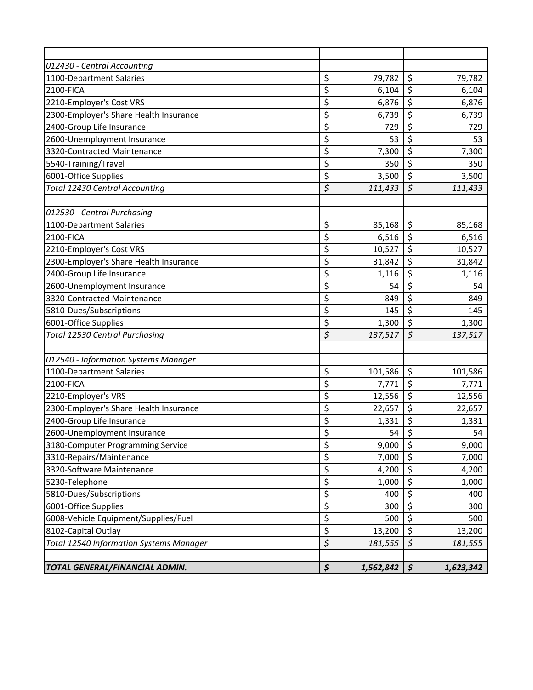| 012430 - Central Accounting                    |                          |           |                                 |           |
|------------------------------------------------|--------------------------|-----------|---------------------------------|-----------|
| 1100-Department Salaries                       | \$                       | 79,782    | \$                              | 79,782    |
| 2100-FICA                                      | \$                       | 6,104     | \$                              | 6,104     |
| 2210-Employer's Cost VRS                       | \$                       | 6,876     | $\overline{\xi}$                | 6,876     |
| 2300-Employer's Share Health Insurance         | \$                       | 6,739     | \$                              | 6,739     |
| 2400-Group Life Insurance                      | \$                       | 729       | \$                              | 729       |
| 2600-Unemployment Insurance                    | \$                       | 53        | \$                              | 53        |
| 3320-Contracted Maintenance                    | \$                       | 7,300     | \$                              | 7,300     |
| 5540-Training/Travel                           | \$                       | 350       | \$                              | 350       |
| 6001-Office Supplies                           | \$                       | 3,500     | $\overline{\xi}$                | 3,500     |
| <b>Total 12430 Central Accounting</b>          | \$                       | 111,433   | $\overline{\mathcal{S}}$        | 111,433   |
|                                                |                          |           |                                 |           |
| 012530 - Central Purchasing                    |                          |           |                                 |           |
| 1100-Department Salaries                       | \$                       | 85,168    | \$                              | 85,168    |
| 2100-FICA                                      | \$                       | 6,516     | \$                              | 6,516     |
| 2210-Employer's Cost VRS                       | \$                       | 10,527    | \$                              | 10,527    |
| 2300-Employer's Share Health Insurance         | \$                       | 31,842    | $\overline{\xi}$                | 31,842    |
| 2400-Group Life Insurance                      | \$                       | 1,116     | \$                              | 1,116     |
| 2600-Unemployment Insurance                    | \$                       | 54        | \$                              | 54        |
| 3320-Contracted Maintenance                    | \$                       | 849       | \$                              | 849       |
| 5810-Dues/Subscriptions                        | \$                       | 145       | \$                              | 145       |
| 6001-Office Supplies                           | \$                       | 1,300     | $\overline{\xi}$                | 1,300     |
| <b>Total 12530 Central Purchasing</b>          | \$                       | 137,517   | $\zeta$                         | 137,517   |
|                                                |                          |           |                                 |           |
| 012540 - Information Systems Manager           |                          |           |                                 |           |
| 1100-Department Salaries                       | \$                       | 101,586   | \$                              | 101,586   |
| 2100-FICA                                      | \$                       | 7,771     | \$                              | 7,771     |
| 2210-Employer's VRS                            | \$                       | 12,556    | $\overline{\varsigma}$          | 12,556    |
| 2300-Employer's Share Health Insurance         | $\overline{\mathcal{L}}$ | 22,657    | $\overline{\xi}$                | 22,657    |
| 2400-Group Life Insurance                      | \$                       | 1,331     | \$                              | 1,331     |
| 2600-Unemployment Insurance                    | \$                       | 54        | \$                              | 54        |
| 3180-Computer Programming Service              | \$                       | 9,000     | \$                              | 9,000     |
| 3310-Repairs/Maintenance                       | \$                       | 7,000     | \$                              | 7,000     |
| 3320-Software Maintenance                      | \$                       | 4,200     | \$                              | 4,200     |
| 5230-Telephone                                 | \$                       | 1,000     | \$                              | 1,000     |
| 5810-Dues/Subscriptions                        | \$                       | 400       | \$                              | 400       |
| 6001-Office Supplies                           | \$                       | 300       | $\overline{\boldsymbol{\zeta}}$ | 300       |
| 6008-Vehicle Equipment/Supplies/Fuel           | \$                       | 500       | \$                              | 500       |
| 8102-Capital Outlay                            | \$                       | 13,200    | \$                              | 13,200    |
| <b>Total 12540 Information Systems Manager</b> | $\overline{\xi}$         | 181,555   | $\overline{\xi}$                | 181,555   |
|                                                |                          |           |                                 |           |
| TOTAL GENERAL/FINANCIAL ADMIN.                 | $\boldsymbol{\zeta}$     | 1,562,842 | $\vert \mathfrak{s} \vert$      | 1,623,342 |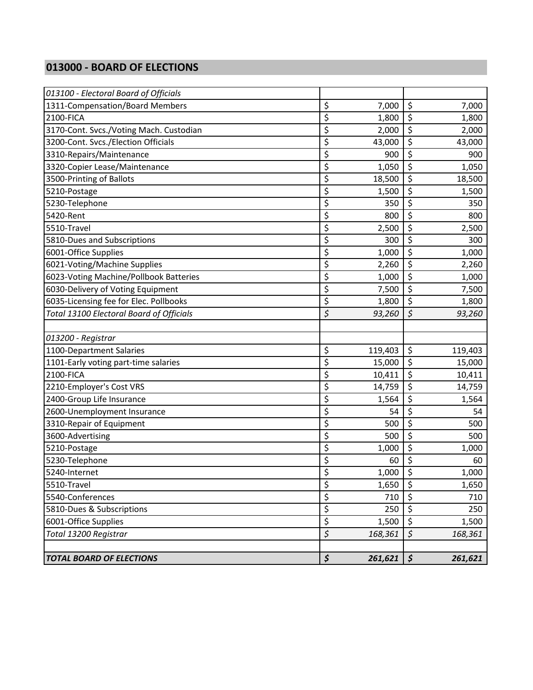#### **013000 - BOARD OF ELECTIONS**

| <b>TOTAL BOARD OF ELECTIONS</b>                 | \$               | 261,621 | $\boldsymbol{\zeta}$   | 261,621 |
|-------------------------------------------------|------------------|---------|------------------------|---------|
|                                                 |                  |         |                        |         |
| Total 13200 Registrar                           | $\overline{\xi}$ | 168,361 | $\overline{\xi}$       | 168,361 |
| 6001-Office Supplies                            | \$               | 1,500   | \$                     | 1,500   |
| 5810-Dues & Subscriptions                       | \$               | 250     | $\overline{\xi}$       | 250     |
| 5540-Conferences                                | \$               | 710     | \$                     | 710     |
| 5510-Travel                                     | \$               | 1,650   | \$                     | 1,650   |
| 5240-Internet                                   | \$               | 1,000   | \$                     | 1,000   |
| 5230-Telephone                                  | \$               | 60      | \$                     | 60      |
| 5210-Postage                                    | \$               | 1,000   | \$                     | 1,000   |
| 3600-Advertising                                | \$               | 500     | \$                     | 500     |
| 3310-Repair of Equipment                        | \$               | 500     | \$                     | 500     |
| 2600-Unemployment Insurance                     | \$               | 54      | \$                     | 54      |
| 2400-Group Life Insurance                       | \$               | 1,564   | \$                     | 1,564   |
| 2210-Employer's Cost VRS                        | \$               | 14,759  | \$                     | 14,759  |
| 2100-FICA                                       | \$               | 10,411  | \$                     | 10,411  |
| 1101-Early voting part-time salaries            | \$               | 15,000  | $\overline{\varsigma}$ | 15,000  |
| 1100-Department Salaries                        | \$               | 119,403 | \$                     | 119,403 |
| 013200 - Registrar                              |                  |         |                        |         |
|                                                 |                  |         |                        |         |
| <b>Total 13100 Electoral Board of Officials</b> | \$               | 93,260  | $\varsigma$            | 93,260  |
| 6035-Licensing fee for Elec. Pollbooks          | \$               | 1,800   | \$                     | 1,800   |
| 6030-Delivery of Voting Equipment               | \$               | 7,500   | $\overline{\xi}$       | 7,500   |
| 6023-Voting Machine/Pollbook Batteries          | \$               | 1,000   | \$                     | 1,000   |
| 6021-Voting/Machine Supplies                    | \$               | 2,260   | \$                     | 2,260   |
| 6001-Office Supplies                            | \$               | 1,000   | \$                     | 1,000   |
| 5810-Dues and Subscriptions                     | \$               | 300     | \$                     | 300     |
| 5510-Travel                                     | \$               | 2,500   | \$                     | 2,500   |
| 5420-Rent                                       | \$               | 800     | \$                     | 800     |
| 5230-Telephone                                  | \$               | 350     | \$                     | 350     |
| 5210-Postage                                    | \$               | 1,500   | \$                     | 1,500   |
| 3500-Printing of Ballots                        | \$               | 18,500  | \$                     | 18,500  |
| 3320-Copier Lease/Maintenance                   | \$               | 1,050   | \$                     | 1,050   |
| 3310-Repairs/Maintenance                        | \$               | 900     | $\overline{\xi}$       | 900     |
| 3200-Cont. Svcs./Election Officials             | \$               | 43,000  | $\overline{\xi}$       | 43,000  |
| 3170-Cont. Svcs./Voting Mach. Custodian         | \$               | 2,000   | \$                     | 2,000   |
| 2100-FICA                                       | \$               | 1,800   | \$                     | 1,800   |
| 1311-Compensation/Board Members                 | \$               | 7,000   | \$                     | 7,000   |
| 013100 - Electoral Board of Officials           |                  |         |                        |         |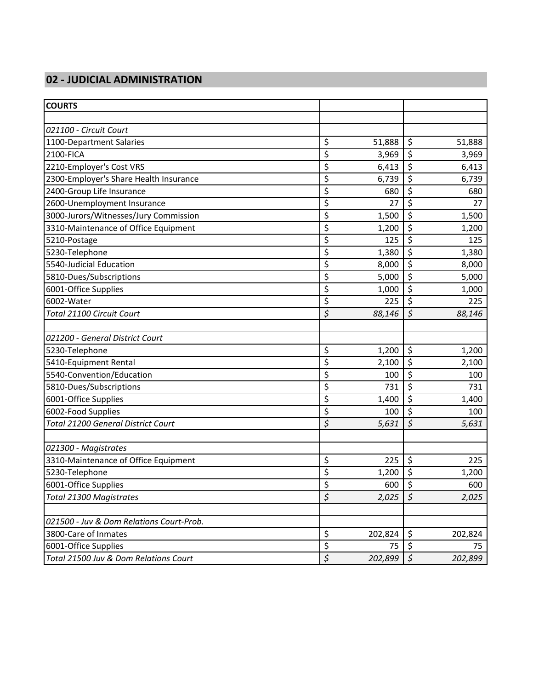# **02 - JUDICIAL ADMINISTRATION**

| <b>COURTS</b>                             |                      |         |                        |         |
|-------------------------------------------|----------------------|---------|------------------------|---------|
|                                           |                      |         |                        |         |
| 021100 - Circuit Court                    |                      |         |                        |         |
| 1100-Department Salaries                  | \$                   | 51,888  | $\zeta$                | 51,888  |
| 2100-FICA                                 | \$                   | 3,969   | \$                     | 3,969   |
| 2210-Employer's Cost VRS                  | \$                   | 6,413   | \$                     | 6,413   |
| 2300-Employer's Share Health Insurance    | \$                   | 6,739   | \$                     | 6,739   |
| 2400-Group Life Insurance                 | \$                   | 680     | \$                     | 680     |
| 2600-Unemployment Insurance               | \$                   | 27      | \$                     | 27      |
| 3000-Jurors/Witnesses/Jury Commission     | \$                   | 1,500   | \$                     | 1,500   |
| 3310-Maintenance of Office Equipment      | \$                   | 1,200   | \$                     | 1,200   |
| 5210-Postage                              | \$                   | 125     | \$                     | 125     |
| 5230-Telephone                            | \$                   | 1,380   | \$                     | 1,380   |
| 5540-Judicial Education                   | \$                   | 8,000   | \$                     | 8,000   |
| 5810-Dues/Subscriptions                   | \$                   | 5,000   | \$                     | 5,000   |
| 6001-Office Supplies                      | \$                   | 1,000   | \$                     | 1,000   |
| 6002-Water                                | \$                   | 225     | \$                     | 225     |
| Total 21100 Circuit Court                 | \$                   | 88,146  | \$                     | 88,146  |
|                                           |                      |         |                        |         |
| 021200 - General District Court           |                      |         |                        |         |
| 5230-Telephone                            | \$                   | 1,200   | \$                     | 1,200   |
| 5410-Equipment Rental                     | \$                   | 2,100   | \$                     | 2,100   |
| 5540-Convention/Education                 | \$                   | 100     | $\overline{\varsigma}$ | 100     |
| 5810-Dues/Subscriptions                   | \$                   | 731     | \$                     | 731     |
| 6001-Office Supplies                      | \$                   | 1,400   | \$                     | 1,400   |
| 6002-Food Supplies                        | \$                   | 100     | \$                     | 100     |
| <b>Total 21200 General District Court</b> | \$                   | 5,631   | \$                     | 5,631   |
|                                           |                      |         |                        |         |
| 021300 - Magistrates                      |                      |         |                        |         |
| 3310-Maintenance of Office Equipment      | \$                   | 225     | \$                     | 225     |
| 5230-Telephone                            | \$                   | 1,200   | \$                     | 1,200   |
| 6001-Office Supplies                      | Ś                    | 600     | $\zeta$                | 600     |
| Total 21300 Magistrates                   | $\boldsymbol{\zeta}$ | 2,025   | $\boldsymbol{\zeta}$   | 2,025   |
| 021500 - Juv & Dom Relations Court-Prob.  |                      |         |                        |         |
| 3800-Care of Inmates                      | \$                   | 202,824 | \$                     | 202,824 |
| 6001-Office Supplies                      | \$                   | 75      | \$                     | 75      |
| Total 21500 Juv & Dom Relations Court     | \$                   | 202,899 | \$                     | 202,899 |
|                                           |                      |         |                        |         |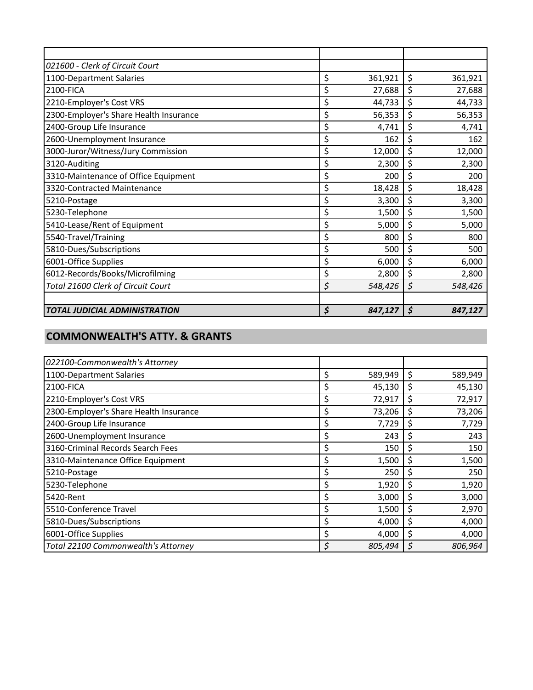| 021600 - Clerk of Circuit Court        |               |               |
|----------------------------------------|---------------|---------------|
| 1100-Department Salaries               | \$<br>361,921 | \$<br>361,921 |
| 2100-FICA                              | \$<br>27,688  | \$<br>27,688  |
| 2210-Employer's Cost VRS               | \$<br>44,733  | \$<br>44,733  |
| 2300-Employer's Share Health Insurance | \$<br>56,353  | \$<br>56,353  |
| 2400-Group Life Insurance              | \$<br>4,741   | \$<br>4,741   |
| 2600-Unemployment Insurance            | \$<br>162     | \$<br>162     |
| 3000-Juror/Witness/Jury Commission     | \$<br>12,000  | \$<br>12,000  |
| 3120-Auditing                          | \$<br>2,300   | \$<br>2,300   |
| 3310-Maintenance of Office Equipment   | \$<br>200     | \$<br>200     |
| 3320-Contracted Maintenance            | \$<br>18,428  | \$<br>18,428  |
| 5210-Postage                           | \$<br>3,300   | \$<br>3,300   |
| 5230-Telephone                         | \$<br>1,500   | \$<br>1,500   |
| 5410-Lease/Rent of Equipment           | \$<br>5,000   | \$<br>5,000   |
| 5540-Travel/Training                   | \$<br>800     | \$<br>800     |
| 5810-Dues/Subscriptions                | \$<br>500     | \$<br>500     |
| 6001-Office Supplies                   | \$<br>6,000   | \$<br>6,000   |
| 6012-Records/Books/Microfilming        | \$<br>2,800   | \$<br>2,800   |
| Total 21600 Clerk of Circuit Court     | \$<br>548,426 | \$<br>548,426 |
|                                        |               |               |
| <b>TOTAL JUDICIAL ADMINISTRATION</b>   | \$<br>847,127 | \$<br>847,127 |

#### **COMMONWEALTH'S ATTY. & GRANTS**

| 022100-Commonwealth's Attorney         |    |         |    |         |
|----------------------------------------|----|---------|----|---------|
| 1100-Department Salaries               | \$ | 589,949 | \$ | 589,949 |
| 2100-FICA                              |    | 45,130  | \$ | 45,130  |
|                                        | Ş  |         |    |         |
| 2210-Employer's Cost VRS               | \$ | 72,917  | \$ | 72,917  |
| 2300-Employer's Share Health Insurance | Ş  | 73,206  | \$ | 73,206  |
| 2400-Group Life Insurance              | \$ | 7,729   | \$ | 7,729   |
| 2600-Unemployment Insurance            |    | 243     | S  | 243     |
| 3160-Criminal Records Search Fees      |    | 150     | Ş  | 150     |
| 3310-Maintenance Office Equipment      | S  | 1,500   | S  | 1,500   |
| 5210-Postage                           | Ş  | 250     | \$ | 250     |
| 5230-Telephone                         | \$ | 1,920   | \$ | 1,920   |
| 5420-Rent                              | \$ | 3,000   | \$ | 3,000   |
| 5510-Conference Travel                 |    | 1,500   | \$ | 2,970   |
| 5810-Dues/Subscriptions                |    | 4,000   | \$ | 4,000   |
| 6001-Office Supplies                   | Ş  | 4,000   | \$ | 4,000   |
| Total 22100 Commonwealth's Attorney    | \$ | 805,494 | Ŝ  | 806,964 |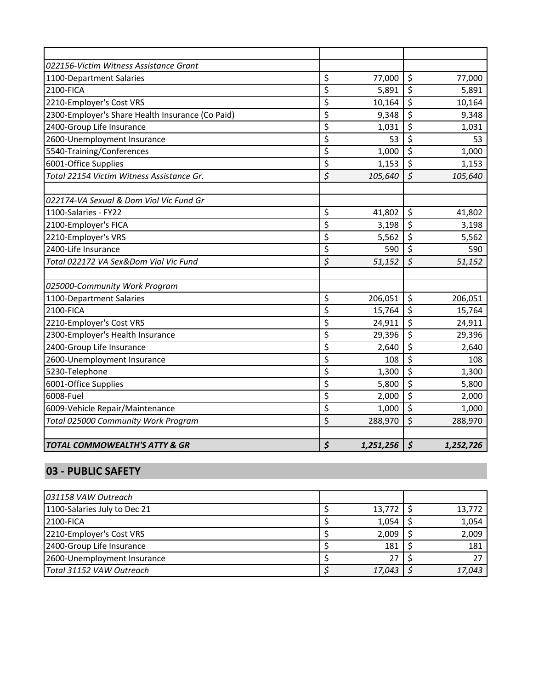| 022156-Victim Witness Assistance Grant           |                          |           |                                 |           |
|--------------------------------------------------|--------------------------|-----------|---------------------------------|-----------|
| 1100-Department Salaries                         | \$                       | 77,000    | $\zeta$                         | 77,000    |
| 2100-FICA                                        | \$                       | 5,891     | \$                              | 5,891     |
| 2210-Employer's Cost VRS                         | \$                       | 10,164    | \$                              | 10,164    |
| 2300-Employer's Share Health Insurance (Co Paid) | \$                       | 9,348     | \$                              | 9,348     |
| 2400-Group Life Insurance                        | \$                       | 1,031     | \$                              | 1,031     |
| 2600-Unemployment Insurance                      | \$                       | 53        | \$                              | 53        |
| 5540-Training/Conferences                        | \$                       | 1,000     | \$                              | 1,000     |
| 6001-Office Supplies                             | \$                       | 1,153     | \$                              | 1,153     |
| Total 22154 Victim Witness Assistance Gr.        | \$                       | 105,640   | $\zeta$                         | 105,640   |
|                                                  |                          |           |                                 |           |
| 022174-VA Sexual & Dom Viol Vic Fund Gr          |                          |           |                                 |           |
| 1100-Salaries - FY22                             | \$                       | 41,802    | \$                              | 41,802    |
| 2100-Employer's FICA                             | \$                       | 3,198     | \$                              | 3,198     |
| 2210-Employer's VRS                              | \$                       | 5,562     | \$                              | 5,562     |
| 2400-Life Insurance                              | \$                       | 590       | \$                              | 590       |
| Total 022172 VA Sex&Dom Viol Vic Fund            | \$                       | 51,152    | $\overline{\mathcal{S}}$        | 51,152    |
|                                                  |                          |           |                                 |           |
| 025000-Community Work Program                    |                          |           |                                 |           |
| 1100-Department Salaries                         | \$                       | 206,051   | \$                              | 206,051   |
| 2100-FICA                                        | \$                       | 15,764    | \$                              | 15,764    |
| 2210-Employer's Cost VRS                         | \$                       | 24,911    | $\overline{\xi}$                | 24,911    |
| 2300-Employer's Health Insurance                 | \$                       | 29,396    | $\varsigma$                     | 29,396    |
| 2400-Group Life Insurance                        | \$                       | 2,640     | \$                              | 2,640     |
| 2600-Unemployment Insurance                      | \$                       | 108       | \$                              | 108       |
| 5230-Telephone                                   | \$                       | 1,300     | \$                              | 1,300     |
| 6001-Office Supplies                             | \$                       | 5,800     | $\overline{\mathsf{S}}$         | 5,800     |
| 6008-Fuel                                        | \$                       | 2,000     | \$                              | 2,000     |
| 6009-Vehicle Repair/Maintenance                  | $\overline{\mathcal{S}}$ | 1,000     | $\overline{\boldsymbol{\zeta}}$ | 1,000     |
| Total 025000 Community Work Program              | \$                       | 288,970   | \$                              | 288,970   |
|                                                  |                          |           |                                 |           |
| <b>TOTAL COMMOWEALTH'S ATTY &amp; GR</b>         | \$                       | 1,251,256 | $\boldsymbol{\zeta}$            | 1,252,726 |

### **03 - PUBLIC SAFETY**

| 031158 VAW Outreach          |  |        |        |
|------------------------------|--|--------|--------|
| 1100-Salaries July to Dec 21 |  | 13,772 | 13,772 |
| <b>2100-FICA</b>             |  | 1,054  | 1,054  |
| 2210-Employer's Cost VRS     |  | 2,009  | 2,009  |
| 2400-Group Life Insurance    |  | 181    | 181    |
| 2600-Unemployment Insurance  |  |        |        |
| Total 31152 VAW Outreach     |  | 17,043 | 17,043 |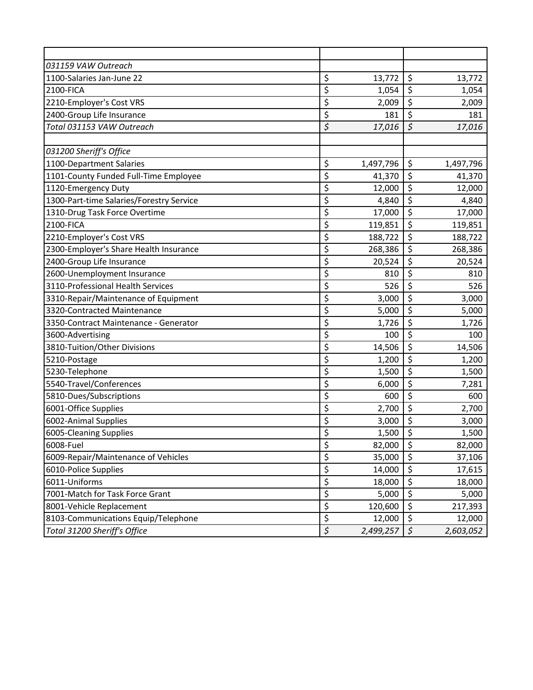| 031159 VAW Outreach                      |                  |           |                                 |           |
|------------------------------------------|------------------|-----------|---------------------------------|-----------|
| 1100-Salaries Jan-June 22                | \$               | 13,772    | \$                              | 13,772    |
| 2100-FICA                                | \$               | 1,054     | \$                              | 1,054     |
| 2210-Employer's Cost VRS                 | \$               | 2,009     | $\overline{\xi}$                | 2,009     |
| 2400-Group Life Insurance                | \$               | 181       | $\overline{\xi}$                | 181       |
| Total 031153 VAW Outreach                | \$               | 17,016    | \$                              | 17,016    |
|                                          |                  |           |                                 |           |
| 031200 Sheriff's Office                  |                  |           |                                 |           |
| 1100-Department Salaries                 | \$               | 1,497,796 | \$                              | 1,497,796 |
| 1101-County Funded Full-Time Employee    | \$               | 41,370    | \$                              | 41,370    |
| 1120-Emergency Duty                      | \$               | 12,000    | $\overline{\xi}$                | 12,000    |
| 1300-Part-time Salaries/Forestry Service | \$               | 4,840     | \$                              | 4,840     |
| 1310-Drug Task Force Overtime            | \$               | 17,000    | $\overline{\xi}$                | 17,000    |
| 2100-FICA                                | \$               | 119,851   | \$                              | 119,851   |
| 2210-Employer's Cost VRS                 | \$               | 188,722   | \$                              | 188,722   |
| 2300-Employer's Share Health Insurance   | \$               | 268,386   | \$                              | 268,386   |
| 2400-Group Life Insurance                | \$               | 20,524    | \$                              | 20,524    |
| 2600-Unemployment Insurance              | \$               | 810       | \$                              | 810       |
| 3110-Professional Health Services        | \$               | 526       | \$                              | 526       |
| 3310-Repair/Maintenance of Equipment     | \$               | 3,000     | \$                              | 3,000     |
| 3320-Contracted Maintenance              | \$               | 5,000     | $\overline{\boldsymbol{\zeta}}$ | 5,000     |
| 3350-Contract Maintenance - Generator    | \$               | 1,726     | \$                              | 1,726     |
| 3600-Advertising                         | \$               | 100       | \$                              | 100       |
| 3810-Tuition/Other Divisions             | \$               | 14,506    | \$                              | 14,506    |
| 5210-Postage                             | \$               | 1,200     | \$                              | 1,200     |
| 5230-Telephone                           | \$               | 1,500     | $\overline{\xi}$                | 1,500     |
| 5540-Travel/Conferences                  | \$               | 6,000     | \$                              | 7,281     |
| 5810-Dues/Subscriptions                  | \$               | 600       | \$                              | 600       |
| 6001-Office Supplies                     | \$               | 2,700     | \$                              | 2,700     |
| 6002-Animal Supplies                     | \$               | 3,000     | \$                              | 3,000     |
| 6005-Cleaning Supplies                   | \$               | 1,500     | $\overline{\xi}$                | 1,500     |
| 6008-Fuel                                | \$               | 82,000    | \$                              | 82,000    |
| 6009-Repair/Maintenance of Vehicles      | \$               | 35,000    | \$                              | 37,106    |
| 6010-Police Supplies                     | \$               | 14,000    | $\overline{\mathbf{z}}$         | 17,615    |
| 6011-Uniforms                            | \$               | 18,000    | \$                              | 18,000    |
| 7001-Match for Task Force Grant          | \$               | 5,000     | \$                              | 5,000     |
| 8001-Vehicle Replacement                 | \$               | 120,600   | $\overline{\xi}$                | 217,393   |
| 8103-Communications Equip/Telephone      | \$               | 12,000    | \$                              | 12,000    |
| Total 31200 Sheriff's Office             | $\overline{\xi}$ | 2,499,257 | $\boldsymbol{\zeta}$            | 2,603,052 |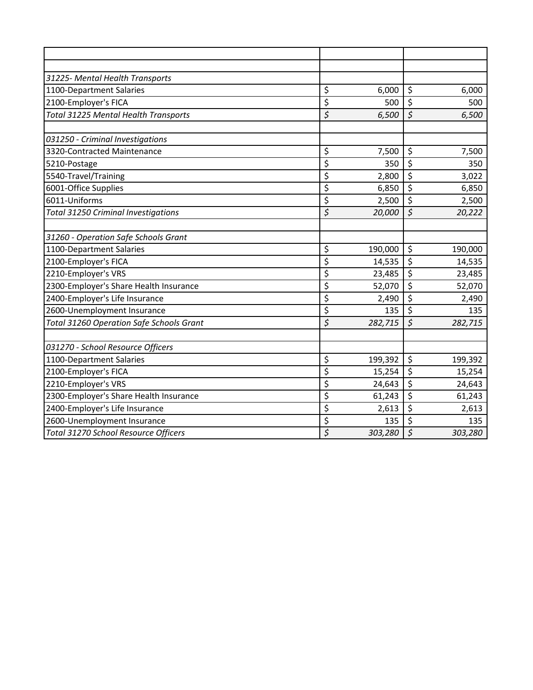| 31225- Mental Health Transports             |                  |         |                                 |         |
|---------------------------------------------|------------------|---------|---------------------------------|---------|
| 1100-Department Salaries                    | \$               | 6,000   | \$                              | 6,000   |
| 2100-Employer's FICA                        | \$               | 500     | $\overline{\xi}$                | 500     |
| <b>Total 31225 Mental Health Transports</b> | \$               | 6,500   | $\zeta$                         | 6,500   |
| 031250 - Criminal Investigations            |                  |         |                                 |         |
| 3320-Contracted Maintenance                 | \$               | 7,500   | \$                              | 7,500   |
| 5210-Postage                                | \$               | 350     | \$                              | 350     |
| 5540-Travel/Training                        | \$               | 2,800   | \$                              | 3,022   |
| 6001-Office Supplies                        | \$               | 6,850   | $\overline{\xi}$                | 6,850   |
| 6011-Uniforms                               | \$               | 2,500   | \$                              | 2,500   |
| <b>Total 31250 Criminal Investigations</b>  | \$               | 20,000  | $\overline{\mathcal{S}}$        | 20,222  |
| 31260 - Operation Safe Schools Grant        |                  |         |                                 |         |
| 1100-Department Salaries                    | \$               | 190,000 | \$                              | 190,000 |
| 2100-Employer's FICA                        | \$               | 14,535  | \$                              | 14,535  |
| 2210-Employer's VRS                         | \$               | 23,485  | $\overline{\xi}$                | 23,485  |
| 2300-Employer's Share Health Insurance      | \$               | 52,070  | $\overline{\xi}$                | 52,070  |
| 2400-Employer's Life Insurance              | \$               | 2,490   | \$                              | 2,490   |
| 2600-Unemployment Insurance                 | \$               | 135     | \$                              | 135     |
| Total 31260 Operation Safe Schools Grant    | \$               | 282,715 | $\overline{\mathcal{S}}$        | 282,715 |
| 031270 - School Resource Officers           |                  |         |                                 |         |
| 1100-Department Salaries                    | \$               | 199,392 | \$                              | 199,392 |
| 2100-Employer's FICA                        | \$               | 15,254  | \$                              | 15,254  |
| 2210-Employer's VRS                         | \$               | 24,643  | \$                              | 24,643  |
| 2300-Employer's Share Health Insurance      | \$               | 61,243  | $\overline{\boldsymbol{\zeta}}$ | 61,243  |
| 2400-Employer's Life Insurance              | \$               | 2,613   | $\overline{\mathcal{S}}$        | 2,613   |
| 2600-Unemployment Insurance                 | \$               | 135     | \$                              | 135     |
| Total 31270 School Resource Officers        | $\overline{\xi}$ | 303,280 | $\overline{\xi}$                | 303,280 |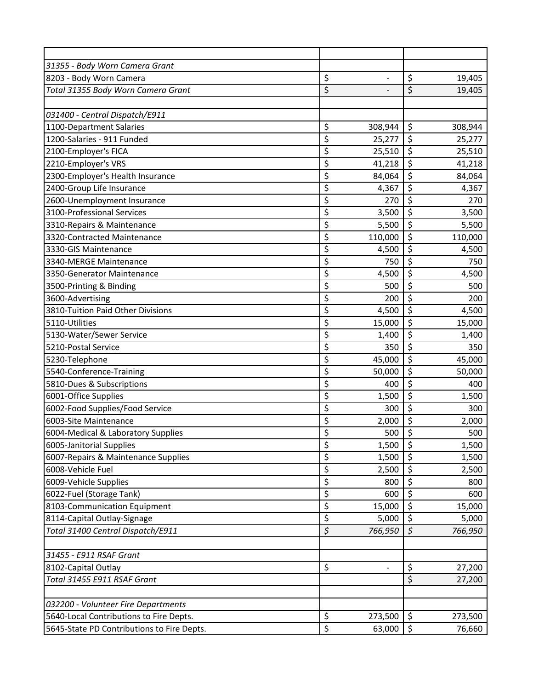| 31355 - Body Worn Camera Grant             |                          |                |                                 |         |
|--------------------------------------------|--------------------------|----------------|---------------------------------|---------|
| 8203 - Body Worn Camera                    | \$                       | $\overline{a}$ | \$                              | 19,405  |
| Total 31355 Body Worn Camera Grant         | \$                       |                | $\overline{\xi}$                | 19,405  |
|                                            |                          |                |                                 |         |
| 031400 - Central Dispatch/E911             |                          |                |                                 |         |
| 1100-Department Salaries                   | \$                       | 308,944        | \$                              | 308,944 |
| 1200-Salaries - 911 Funded                 | \$                       | 25,277         | \$                              | 25,277  |
| 2100-Employer's FICA                       | \$                       | 25,510         | \$                              | 25,510  |
| 2210-Employer's VRS                        | \$                       | 41,218         | \$                              | 41,218  |
| 2300-Employer's Health Insurance           | \$                       | 84,064         | \$                              | 84,064  |
| 2400-Group Life Insurance                  | $\overline{\xi}$         | 4,367          | $\overline{\xi}$                | 4,367   |
| 2600-Unemployment Insurance                | \$                       | 270            | \$                              | 270     |
| 3100-Professional Services                 | \$                       | 3,500          | \$                              | 3,500   |
| 3310-Repairs & Maintenance                 | \$                       | 5,500          | \$                              | 5,500   |
| 3320-Contracted Maintenance                | \$                       | 110,000        | \$                              | 110,000 |
| 3330-GIS Maintenance                       | \$                       | 4,500          | \$                              | 4,500   |
| 3340-MERGE Maintenance                     | \$                       | 750            | $\overline{\boldsymbol{\zeta}}$ | 750     |
| 3350-Generator Maintenance                 | \$                       | 4,500          | \$                              | 4,500   |
| 3500-Printing & Binding                    | \$                       | 500            | \$                              | 500     |
| 3600-Advertising                           | \$                       | 200            | \$                              | 200     |
| 3810-Tuition Paid Other Divisions          | \$                       | 4,500          | \$                              | 4,500   |
| 5110-Utilities                             | $\overline{\mathcal{L}}$ | 15,000         | $\overline{\xi}$                | 15,000  |
| 5130-Water/Sewer Service                   | \$                       | 1,400          | \$                              | 1,400   |
| 5210-Postal Service                        | \$                       | 350            | \$                              | 350     |
| 5230-Telephone                             | \$                       | 45,000         | \$                              | 45,000  |
| 5540-Conference-Training                   | \$                       | 50,000         | \$                              | 50,000  |
| 5810-Dues & Subscriptions                  | \$                       | 400            | \$                              | 400     |
| 6001-Office Supplies                       | \$                       | 1,500          | $\overline{\xi}$                | 1,500   |
| 6002-Food Supplies/Food Service            | \$                       | 300            | \$                              | 300     |
| 6003-Site Maintenance                      | \$                       | 2,000          | \$                              | 2,000   |
| 6004-Medical & Laboratory Supplies         | \$                       | 500            | \$                              | 500     |
| 6005-Janitorial Supplies                   | \$                       | 1,500          | \$                              | 1,500   |
| 6007-Repairs & Maintenance Supplies        | \$                       | 1,500          | \$                              | 1,500   |
| 6008-Vehicle Fuel                          | \$                       | 2,500          | \$                              | 2,500   |
| 6009-Vehicle Supplies                      | \$                       | 800            | \$                              | 800     |
| 6022-Fuel (Storage Tank)                   | \$                       | 600            | \$                              | 600     |
| 8103-Communication Equipment               | \$                       | 15,000         | \$                              | 15,000  |
| 8114-Capital Outlay-Signage                | \$                       | 5,000          | \$                              | 5,000   |
| Total 31400 Central Dispatch/E911          | $\boldsymbol{\zeta}$     | 766,950        | $\boldsymbol{\zeta}$            | 766,950 |
| 31455 - E911 RSAF Grant                    |                          |                |                                 |         |
| 8102-Capital Outlay                        | \$                       | $\blacksquare$ | \$                              | 27,200  |
| Total 31455 E911 RSAF Grant                |                          |                | \$                              | 27,200  |
| 032200 - Volunteer Fire Departments        |                          |                |                                 |         |
| 5640-Local Contributions to Fire Depts.    | \$                       | 273,500        | \$                              | 273,500 |
| 5645-State PD Contributions to Fire Depts. | $\overline{\xi}$         | 63,000         | \$                              | 76,660  |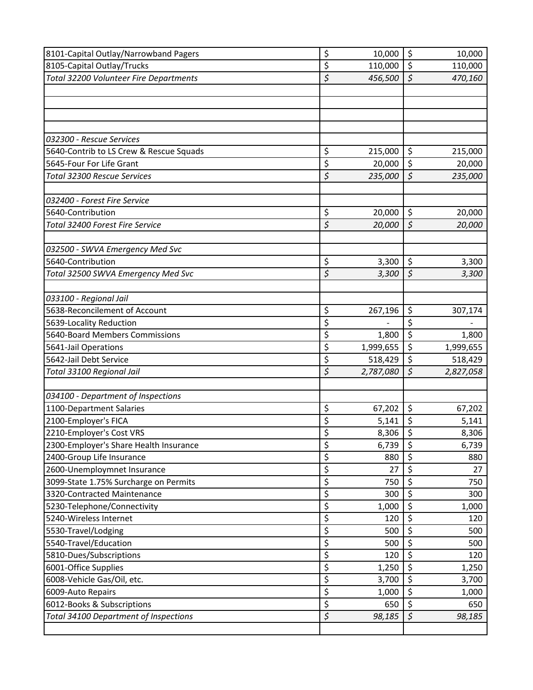| 8101-Capital Outlay/Narrowband Pagers        | \$               | 10,000    | \$                       | 10,000    |
|----------------------------------------------|------------------|-----------|--------------------------|-----------|
| 8105-Capital Outlay/Trucks                   | \$               | 110,000   | \$                       | 110,000   |
| Total 32200 Volunteer Fire Departments       | \$               | 456,500   | $\overline{\mathcal{S}}$ | 470,160   |
|                                              |                  |           |                          |           |
|                                              |                  |           |                          |           |
|                                              |                  |           |                          |           |
|                                              |                  |           |                          |           |
| 032300 - Rescue Services                     |                  |           |                          |           |
| 5640-Contrib to LS Crew & Rescue Squads      | \$               | 215,000   | \$                       | 215,000   |
| 5645-Four For Life Grant                     | \$               | 20,000    | \$                       | 20,000    |
| Total 32300 Rescue Services                  | $\overline{\xi}$ | 235,000   | $\overline{\xi}$         | 235,000   |
|                                              |                  |           |                          |           |
| 032400 - Forest Fire Service                 |                  |           |                          |           |
| 5640-Contribution                            | \$               | 20,000    | \$                       | 20,000    |
| Total 32400 Forest Fire Service              | \$               | 20,000    | $\zeta$                  | 20,000    |
|                                              |                  |           |                          |           |
| 032500 - SWVA Emergency Med Svc              |                  |           |                          |           |
| 5640-Contribution                            | \$               | 3,300     | \$                       | 3,300     |
| Total 32500 SWVA Emergency Med Svc           | \$               | 3,300     | \$                       | 3,300     |
|                                              |                  |           |                          |           |
| 033100 - Regional Jail                       |                  |           |                          |           |
| 5638-Reconcilement of Account                | \$               | 267,196   | \$                       | 307,174   |
| 5639-Locality Reduction                      | \$               |           | \$                       |           |
| 5640-Board Members Commissions               | \$               | 1,800     | \$                       | 1,800     |
| 5641-Jail Operations                         | \$               | 1,999,655 | \$                       | 1,999,655 |
| 5642-Jail Debt Service                       | \$               | 518,429   | \$                       | 518,429   |
| Total 33100 Regional Jail                    | \$               | 2,787,080 | \$                       | 2,827,058 |
|                                              |                  |           |                          |           |
| 034100 - Department of Inspections           |                  |           |                          |           |
| 1100-Department Salaries                     | \$               | 67,202    | \$                       | 67,202    |
| 2100-Employer's FICA                         | \$               | 5,141     | \$                       | 5,141     |
| 2210-Employer's Cost VRS                     | \$               | 8,306     | \$                       | 8,306     |
| 2300-Employer's Share Health Insurance       | \$               | 6,739     | \$                       | 6,739     |
| 2400-Group Life Insurance                    | \$               | 880       | \$                       | 880       |
| 2600-Unemploymnet Insurance                  | \$               | 27        | \$                       | 27        |
| 3099-State 1.75% Surcharge on Permits        | \$               | 750       | \$                       | 750       |
| 3320-Contracted Maintenance                  | \$               | 300       | \$                       | 300       |
| 5230-Telephone/Connectivity                  | \$               | 1,000     | \$                       | 1,000     |
| 5240-Wireless Internet                       | \$               | 120       | \$                       | 120       |
| 5530-Travel/Lodging                          | \$               | 500       | \$                       | 500       |
| 5540-Travel/Education                        | \$               | 500       | \$                       | 500       |
| 5810-Dues/Subscriptions                      | \$               | 120       | \$                       | 120       |
| 6001-Office Supplies                         | \$               | 1,250     | \$                       | 1,250     |
| 6008-Vehicle Gas/Oil, etc.                   | \$               | 3,700     | $\overline{\xi}$         | 3,700     |
| 6009-Auto Repairs                            | \$               | 1,000     | \$                       | 1,000     |
| 6012-Books & Subscriptions                   | \$               | 650       | \$                       | 650       |
| <b>Total 34100 Department of Inspections</b> | \$               | 98,185    | $\overline{\xi}$         | 98,185    |
|                                              |                  |           |                          |           |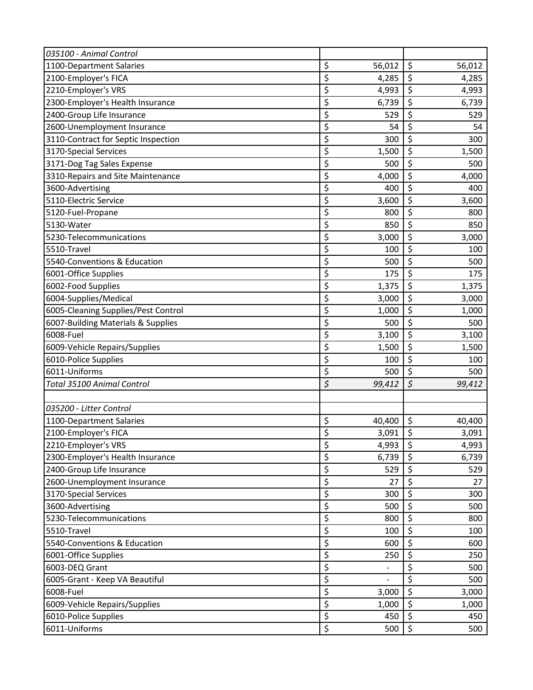| \$<br>1100-Department Salaries            | 56,012                   | \$                              | 56,012 |
|-------------------------------------------|--------------------------|---------------------------------|--------|
| \$<br>2100-Employer's FICA                | 4,285                    | \$                              | 4,285  |
| \$<br>2210-Employer's VRS                 | 4,993                    | \$                              | 4,993  |
| \$<br>2300-Employer's Health Insurance    | 6,739                    | \$                              | 6,739  |
| \$<br>2400-Group Life Insurance           | 529                      | \$                              | 529    |
| \$<br>2600-Unemployment Insurance         | 54                       | \$                              | 54     |
| \$<br>3110-Contract for Septic Inspection | 300                      | \$                              | 300    |
| \$<br>3170-Special Services               | 1,500                    | \$                              | 1,500  |
| \$<br>3171-Dog Tag Sales Expense          | 500                      | \$                              | 500    |
| \$<br>3310-Repairs and Site Maintenance   | 4,000                    | \$                              | 4,000  |
| \$<br>3600-Advertising                    | 400                      | \$                              | 400    |
| \$<br>5110-Electric Service               | 3,600                    | \$                              | 3,600  |
| \$<br>5120-Fuel-Propane                   | 800                      | \$                              | 800    |
| \$<br>5130-Water                          | 850                      | \$                              | 850    |
| \$<br>5230-Telecommunications             | 3,000                    | \$                              | 3,000  |
| \$<br>5510-Travel                         | 100                      | \$                              | 100    |
| \$<br>5540-Conventions & Education        | 500                      | \$                              | 500    |
| \$<br>6001-Office Supplies                | 175                      | \$                              | 175    |
| \$<br>6002-Food Supplies                  | 1,375                    | \$                              | 1,375  |
| \$<br>6004-Supplies/Medical               | 3,000                    | \$                              | 3,000  |
| \$<br>6005-Cleaning Supplies/Pest Control | 1,000                    | \$                              | 1,000  |
| \$<br>6007-Building Materials & Supplies  | 500                      | \$                              | 500    |
| \$<br>6008-Fuel                           | 3,100                    | \$                              | 3,100  |
| \$<br>6009-Vehicle Repairs/Supplies       | 1,500                    | \$                              | 1,500  |
| \$<br>6010-Police Supplies                | 100                      | \$                              | 100    |
| \$<br>6011-Uniforms                       | 500                      | \$                              | 500    |
| \$<br><b>Total 35100 Animal Control</b>   | 99,412                   | $\zeta$                         | 99,412 |
|                                           |                          |                                 |        |
| 035200 - Litter Control                   |                          |                                 |        |
| \$<br>1100-Department Salaries            | 40,400                   | \$                              | 40,400 |
| \$<br>2100-Employer's FICA                | 3,091                    | \$                              | 3,091  |
| \$<br>2210-Employer's VRS                 | 4,993                    | \$                              | 4,993  |
| \$<br>2300-Employer's Health Insurance    | 6,739                    | \$                              | 6,739  |
| \$<br>2400-Group Life Insurance           | 529                      | \$                              | 529    |
| \$<br>2600-Unemployment Insurance         | 27                       | \$                              | 27     |
| \$<br>3170-Special Services               | 300                      | \$                              | 300    |
| \$<br>3600-Advertising                    | 500                      | \$                              | 500    |
| \$<br>5230-Telecommunications             | 800                      | \$                              | 800    |
| \$<br>5510-Travel                         | 100                      | \$                              | 100    |
| \$<br>5540-Conventions & Education        | 600                      | \$                              | 600    |
| \$<br>6001-Office Supplies                | 250                      | \$                              | 250    |
| \$<br>6003-DEQ Grant                      | $\overline{\phantom{0}}$ | \$                              | 500    |
| \$<br>6005-Grant - Keep VA Beautiful      | $\overline{a}$           | $\overline{\boldsymbol{\zeta}}$ | 500    |
| \$<br>6008-Fuel                           | 3,000                    | \$                              | 3,000  |
| \$<br>6009-Vehicle Repairs/Supplies       | 1,000                    | \$                              | 1,000  |
| \$<br>6010-Police Supplies                | 450                      | \$                              | 450    |
| \$<br>6011-Uniforms                       | 500                      | \$                              | 500    |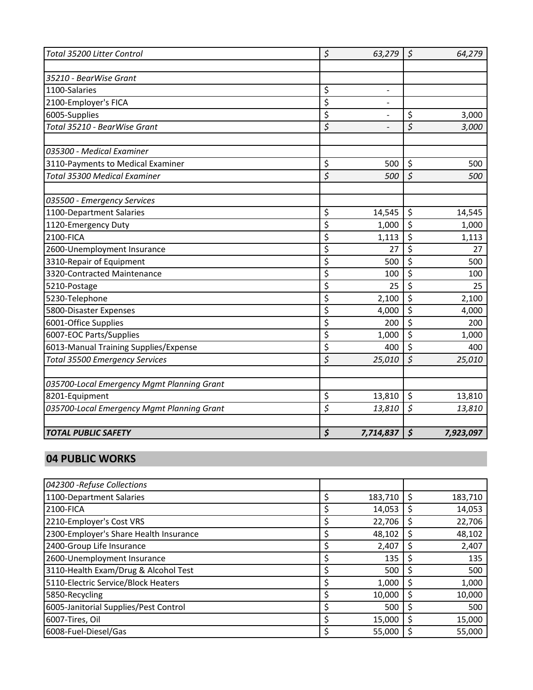| Total 35200 Litter Control                 | $\boldsymbol{\zeta}$ | 63,279                   | $\zeta$                | 64,279    |
|--------------------------------------------|----------------------|--------------------------|------------------------|-----------|
|                                            |                      |                          |                        |           |
| 35210 - BearWise Grant                     |                      |                          |                        |           |
| 1100-Salaries                              | \$                   | $\overline{\phantom{0}}$ |                        |           |
| 2100-Employer's FICA                       | \$                   | $\overline{\phantom{0}}$ |                        |           |
| 6005-Supplies                              | \$                   | $\overline{a}$           | \$                     | 3,000     |
| Total 35210 - BearWise Grant               | \$                   |                          | \$                     | 3,000     |
|                                            |                      |                          |                        |           |
| 035300 - Medical Examiner                  |                      |                          |                        |           |
| 3110-Payments to Medical Examiner          | \$                   | 500                      | \$                     | 500       |
| <b>Total 35300 Medical Examiner</b>        | \$                   | 500                      | $\zeta$                | 500       |
|                                            |                      |                          |                        |           |
| 035500 - Emergency Services                |                      |                          |                        |           |
| 1100-Department Salaries                   | \$                   | 14,545                   | \$                     | 14,545    |
| 1120-Emergency Duty                        | \$                   | 1,000                    | \$                     | 1,000     |
| 2100-FICA                                  | \$                   | 1,113                    | \$                     | 1,113     |
| 2600-Unemployment Insurance                | \$                   | 27                       | \$                     | 27        |
| 3310-Repair of Equipment                   | \$                   | 500                      | \$                     | 500       |
| 3320-Contracted Maintenance                | \$                   | 100                      | \$                     | 100       |
| 5210-Postage                               | \$                   | 25                       | \$                     | 25        |
| 5230-Telephone                             | \$                   | 2,100                    | \$                     | 2,100     |
| 5800-Disaster Expenses                     | \$                   | 4,000                    | \$                     | 4,000     |
| 6001-Office Supplies                       | \$                   | 200                      | \$                     | 200       |
| 6007-EOC Parts/Supplies                    | \$                   | 1,000                    | \$                     | 1,000     |
| 6013-Manual Training Supplies/Expense      | \$                   | 400                      | \$                     | 400       |
| <b>Total 35500 Emergency Services</b>      | \$                   | 25,010                   | \$                     | 25,010    |
| 035700-Local Emergency Mgmt Planning Grant |                      |                          |                        |           |
| 8201-Equipment                             | \$                   | 13,810                   | \$                     | 13,810    |
| 035700-Local Emergency Mgmt Planning Grant | $\overline{\xi}$     | 13,810                   | $\overline{\varsigma}$ | 13,810    |
|                                            |                      |                          |                        |           |
| <b>TOTAL PUBLIC SAFETY</b>                 | \$                   | 7,714,837                | \$                     | 7,923,097 |

#### **04 PUBLIC WORKS**

| 042300 - Refuse Collections            |  |         |   |         |
|----------------------------------------|--|---------|---|---------|
| 1100-Department Salaries               |  | 183,710 | S | 183,710 |
| 2100-FICA                              |  | 14,053  |   | 14,053  |
| 2210-Employer's Cost VRS               |  | 22,706  |   | 22,706  |
| 2300-Employer's Share Health Insurance |  | 48,102  |   | 48,102  |
| 2400-Group Life Insurance              |  | 2,407   |   | 2,407   |
| 2600-Unemployment Insurance            |  | 135     |   | 135     |
| 3110-Health Exam/Drug & Alcohol Test   |  | 500     |   | 500     |
| 5110-Electric Service/Block Heaters    |  | 1,000   |   | 1,000   |
| 5850-Recycling                         |  | 10,000  |   | 10,000  |
| 6005-Janitorial Supplies/Pest Control  |  | 500     |   | 500     |
| 6007-Tires, Oil                        |  | 15,000  |   | 15,000  |
| 6008-Fuel-Diesel/Gas                   |  | 55,000  |   | 55,000  |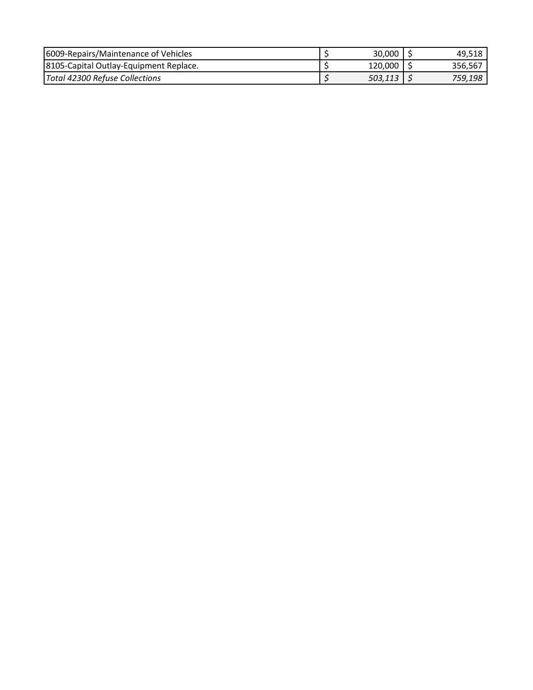| <b>16009-Repairs/Maintenance of Vehicles</b> | 30,000  | 49.518  |
|----------------------------------------------|---------|---------|
| 8105-Capital Outlay-Equipment Replace.       | 120,000 | 356.567 |
| Total 42300 Refuse Collections               | 503,113 | 759,198 |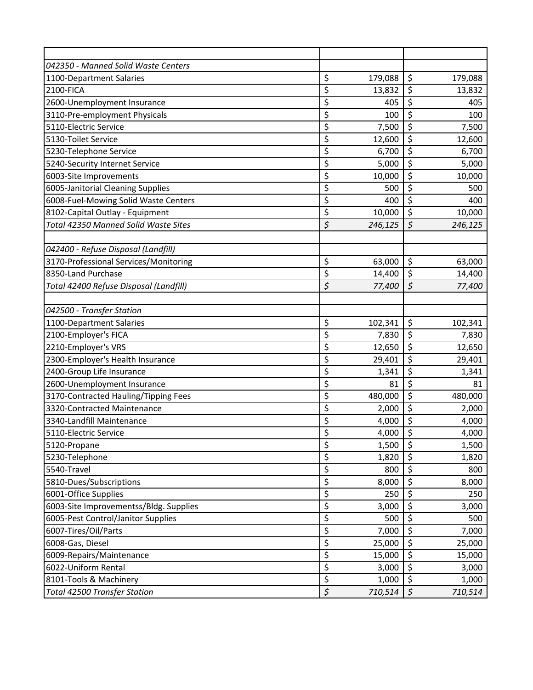| 042350 - Manned Solid Waste Centers    |                          |         |                                 |         |
|----------------------------------------|--------------------------|---------|---------------------------------|---------|
| 1100-Department Salaries               | \$                       | 179,088 | \$                              | 179,088 |
| 2100-FICA                              | \$                       | 13,832  | \$                              | 13,832  |
| 2600-Unemployment Insurance            | \$                       | 405     | \$                              | 405     |
| 3110-Pre-employment Physicals          | \$                       | 100     | \$                              | 100     |
| 5110-Electric Service                  | \$                       | 7,500   | \$                              | 7,500   |
| 5130-Toilet Service                    | \$                       | 12,600  | \$                              | 12,600  |
| 5230-Telephone Service                 | \$                       | 6,700   | \$                              | 6,700   |
| 5240-Security Internet Service         | \$                       | 5,000   | \$                              | 5,000   |
| 6003-Site Improvements                 | \$                       | 10,000  | $\overline{\xi}$                | 10,000  |
| 6005-Janitorial Cleaning Supplies      | \$                       | 500     | \$                              | 500     |
| 6008-Fuel-Mowing Solid Waste Centers   | \$                       | 400     | \$                              | 400     |
| 8102-Capital Outlay - Equipment        | \$                       | 10,000  | \$                              | 10,000  |
| Total 42350 Manned Solid Waste Sites   | \$                       | 246,125 | $\zeta$                         | 246,125 |
|                                        |                          |         |                                 |         |
| 042400 - Refuse Disposal (Landfill)    |                          |         |                                 |         |
| 3170-Professional Services/Monitoring  | \$                       | 63,000  | \$                              | 63,000  |
| 8350-Land Purchase                     | \$                       | 14,400  | \$                              | 14,400  |
| Total 42400 Refuse Disposal (Landfill) | \$                       | 77,400  | $\zeta$                         | 77,400  |
| 042500 - Transfer Station              |                          |         |                                 |         |
| 1100-Department Salaries               | \$                       | 102,341 | \$                              | 102,341 |
| 2100-Employer's FICA                   | \$                       | 7,830   | \$                              | 7,830   |
| 2210-Employer's VRS                    | \$                       | 12,650  | \$                              | 12,650  |
| 2300-Employer's Health Insurance       | \$                       | 29,401  | \$                              | 29,401  |
| 2400-Group Life Insurance              | \$                       | 1,341   | \$                              | 1,341   |
| 2600-Unemployment Insurance            | \$                       | 81      | \$                              | 81      |
| 3170-Contracted Hauling/Tipping Fees   | \$                       | 480,000 | \$                              | 480,000 |
| 3320-Contracted Maintenance            | $\overline{\mathsf{S}}$  | 2,000   | \$                              | 2,000   |
| 3340-Landfill Maintenance              | \$                       | 4,000   | \$                              | 4,000   |
| 5110-Electric Service                  | \$                       | 4,000   | $\bar{\xi}$                     | 4,000   |
| 5120-Propane                           | \$                       | 1,500   | \$                              | 1,500   |
| 5230-Telephone                         | \$                       | 1,820   | \$                              | 1,820   |
| 5540-Travel                            | \$                       | 800     | \$                              | 800     |
| 5810-Dues/Subscriptions                | \$                       | 8,000   | \$                              | 8,000   |
| 6001-Office Supplies                   | \$                       | 250     | \$                              | 250     |
| 6003-Site Improvementss/Bldg. Supplies | \$                       | 3,000   | \$                              | 3,000   |
| 6005-Pest Control/Janitor Supplies     | \$                       | 500     | \$                              | 500     |
| 6007-Tires/Oil/Parts                   | \$                       | 7,000   | \$                              | 7,000   |
| 6008-Gas, Diesel                       | $\overline{\mathcal{L}}$ | 25,000  | $\overline{\varsigma}$          | 25,000  |
| 6009-Repairs/Maintenance               | \$                       | 15,000  | \$                              | 15,000  |
| 6022-Uniform Rental                    | \$                       | 3,000   | \$                              | 3,000   |
| 8101-Tools & Machinery                 | \$                       | 1,000   | $\overline{\boldsymbol{\zeta}}$ | 1,000   |
| <b>Total 42500 Transfer Station</b>    | $\boldsymbol{\zeta}$     | 710,514 | \$                              | 710,514 |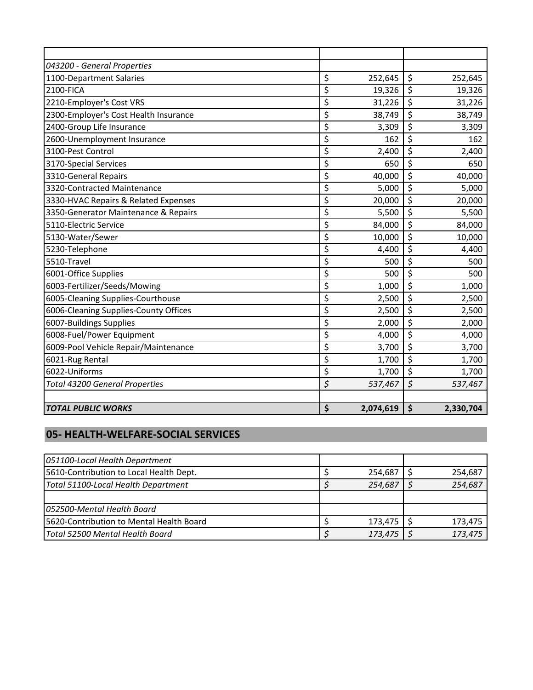| 043200 - General Properties           |                 |                 |
|---------------------------------------|-----------------|-----------------|
| 1100-Department Salaries              | \$<br>252,645   | \$<br>252,645   |
| 2100-FICA                             | \$<br>19,326    | \$<br>19,326    |
| 2210-Employer's Cost VRS              | \$<br>31,226    | \$<br>31,226    |
| 2300-Employer's Cost Health Insurance | \$<br>38,749    | \$<br>38,749    |
| 2400-Group Life Insurance             | \$<br>3,309     | \$<br>3,309     |
| 2600-Unemployment Insurance           | \$<br>162       | \$<br>162       |
| 3100-Pest Control                     | \$<br>2,400     | \$<br>2,400     |
| 3170-Special Services                 | \$<br>650       | \$<br>650       |
| 3310-General Repairs                  | \$<br>40,000    | \$<br>40,000    |
| 3320-Contracted Maintenance           | \$<br>5,000     | \$<br>5,000     |
| 3330-HVAC Repairs & Related Expenses  | \$<br>20,000    | \$<br>20,000    |
| 3350-Generator Maintenance & Repairs  | \$<br>5,500     | \$<br>5,500     |
| 5110-Electric Service                 | \$<br>84,000    | \$<br>84,000    |
| 5130-Water/Sewer                      | \$<br>10,000    | \$<br>10,000    |
| 5230-Telephone                        | \$<br>4,400     | \$<br>4,400     |
| 5510-Travel                           | \$<br>500       | \$<br>500       |
| 6001-Office Supplies                  | \$<br>500       | \$<br>500       |
| 6003-Fertilizer/Seeds/Mowing          | \$<br>1,000     | \$<br>1,000     |
| 6005-Cleaning Supplies-Courthouse     | \$<br>2,500     | \$<br>2,500     |
| 6006-Cleaning Supplies-County Offices | \$<br>2,500     | \$<br>2,500     |
| 6007-Buildings Supplies               | \$<br>2,000     | \$<br>2,000     |
| 6008-Fuel/Power Equipment             | \$<br>4,000     | \$<br>4,000     |
| 6009-Pool Vehicle Repair/Maintenance  | \$<br>3,700     | \$<br>3,700     |
| 6021-Rug Rental                       | \$<br>1,700     | \$<br>1,700     |
| 6022-Uniforms                         | \$<br>1,700     | \$<br>1,700     |
| <b>Total 43200 General Properties</b> | \$<br>537,467   | \$<br>537,467   |
|                                       |                 |                 |
| <b>TOTAL PUBLIC WORKS</b>             | \$<br>2,074,619 | \$<br>2,330,704 |

# **05- HEALTH-WELFARE-SOCIAL SERVICES**

| 051100-Local Health Department            |         |         |
|-------------------------------------------|---------|---------|
| [5610-Contribution to Local Health Dept.] | 254,687 | 254,687 |
| Total 51100-Local Health Department       | 254,687 | 254,687 |
|                                           |         |         |
| 1052500-Mental Health Board               |         |         |
| 5620-Contribution to Mental Health Board  | 173,475 | 173,475 |
| Total 52500 Mental Health Board           | 173,475 | 173,475 |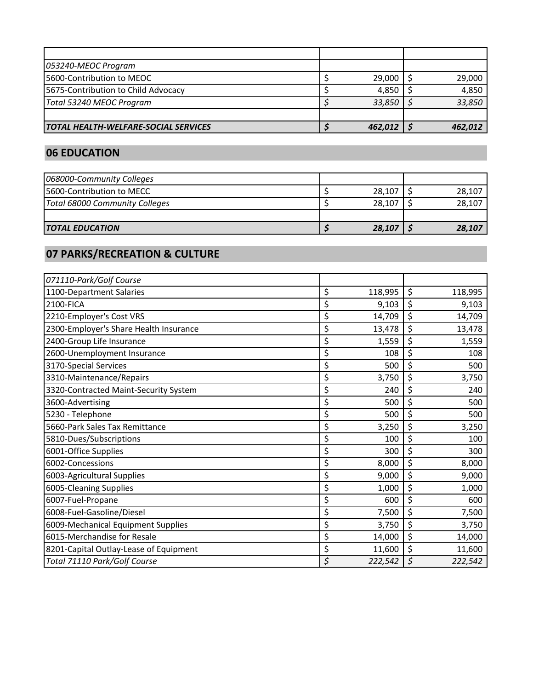| 053240-MEOC Program                         |         |         |
|---------------------------------------------|---------|---------|
| 5600-Contribution to MEOC                   | 29,000  | 29,000  |
| 5675-Contribution to Child Advocacy         | 4.850   | 4,850   |
| Total 53240 MEOC Program                    | 33,850  | 33,850  |
|                                             |         |         |
| <b>TOTAL HEALTH-WELFARE-SOCIAL SERVICES</b> | 462,012 | 462,012 |

### **06 EDUCATION**

| <b>TOTAL EDUCATION</b>            |  | 28,107 | 28,107 |
|-----------------------------------|--|--------|--------|
|                                   |  |        |        |
| Total 68000 Community Colleges    |  | 28,107 | 28,107 |
| <b>15600-Contribution to MECC</b> |  | 28,107 | 28,107 |
| 068000-Community Colleges         |  |        |        |

# **07 PARKS/RECREATION & CULTURE**

| 071110-Park/Golf Course                |               |               |
|----------------------------------------|---------------|---------------|
| 1100-Department Salaries               | \$<br>118,995 | \$<br>118,995 |
| 2100-FICA                              | \$<br>9,103   | \$<br>9,103   |
| 2210-Employer's Cost VRS               | \$<br>14,709  | \$<br>14,709  |
| 2300-Employer's Share Health Insurance | \$<br>13,478  | \$<br>13,478  |
| 2400-Group Life Insurance              | \$<br>1,559   | \$<br>1,559   |
| 2600-Unemployment Insurance            | \$<br>108     | \$<br>108     |
| 3170-Special Services                  | \$<br>500     | \$<br>500     |
| 3310-Maintenance/Repairs               | \$<br>3,750   | \$<br>3,750   |
| 3320-Contracted Maint-Security System  | \$<br>240     | \$<br>240     |
| 3600-Advertising                       | \$<br>500     | \$<br>500     |
| 5230 - Telephone                       | \$<br>500     | \$<br>500     |
| 5660-Park Sales Tax Remittance         | \$<br>3,250   | \$<br>3,250   |
| 5810-Dues/Subscriptions                | \$<br>100     | \$<br>100     |
| 6001-Office Supplies                   | \$<br>300     | \$<br>300     |
| 6002-Concessions                       | \$<br>8,000   | \$<br>8,000   |
| 6003-Agricultural Supplies             | \$<br>9,000   | \$<br>9,000   |
| 6005-Cleaning Supplies                 | \$<br>1,000   | \$<br>1,000   |
| 6007-Fuel-Propane                      | \$<br>600     | \$<br>600     |
| 6008-Fuel-Gasoline/Diesel              | \$<br>7,500   | \$<br>7,500   |
| 6009-Mechanical Equipment Supplies     | \$<br>3,750   | \$<br>3,750   |
| 6015-Merchandise for Resale            | \$<br>14,000  | \$<br>14,000  |
| 8201-Capital Outlay-Lease of Equipment | \$<br>11,600  | \$<br>11,600  |
| Total 71110 Park/Golf Course           | \$<br>222,542 | \$<br>222,542 |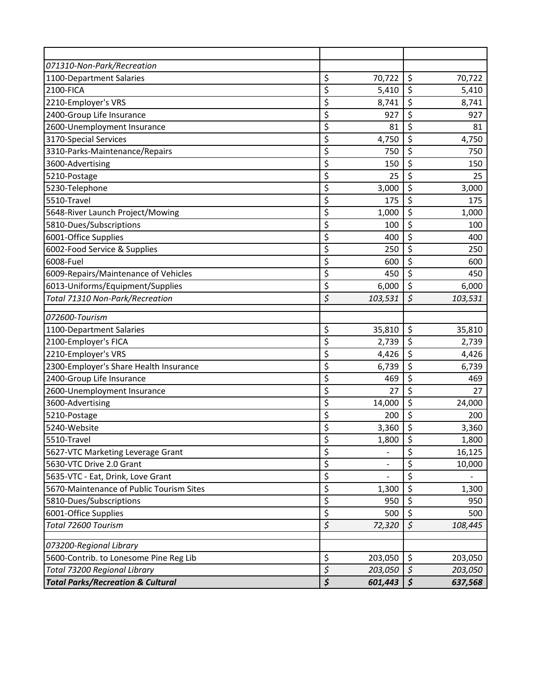| 071310-Non-Park/Recreation                   |                                 |         |                      |         |
|----------------------------------------------|---------------------------------|---------|----------------------|---------|
| 1100-Department Salaries                     | \$                              | 70,722  | \$                   | 70,722  |
| 2100-FICA                                    | \$                              | 5,410   | \$                   | 5,410   |
| 2210-Employer's VRS                          | \$                              | 8,741   | \$                   | 8,741   |
| 2400-Group Life Insurance                    | \$                              | 927     | \$                   | 927     |
| 2600-Unemployment Insurance                  | \$                              | 81      | \$                   | 81      |
| 3170-Special Services                        | \$                              | 4,750   | \$                   | 4,750   |
| 3310-Parks-Maintenance/Repairs               | \$                              | 750     | \$                   | 750     |
| 3600-Advertising                             | \$                              | 150     | \$                   | 150     |
| 5210-Postage                                 | \$                              | 25      | \$                   | 25      |
| 5230-Telephone                               | \$                              | 3,000   | \$                   | 3,000   |
| 5510-Travel                                  | \$                              | 175     | \$                   | 175     |
| 5648-River Launch Project/Mowing             | \$                              | 1,000   | \$                   | 1,000   |
| 5810-Dues/Subscriptions                      | \$                              | 100     | \$                   | 100     |
| 6001-Office Supplies                         | \$                              | 400     | \$                   | 400     |
| 6002-Food Service & Supplies                 | \$                              | 250     | \$                   | 250     |
| 6008-Fuel                                    | \$                              | 600     | \$                   | 600     |
| 6009-Repairs/Maintenance of Vehicles         | \$                              | 450     | \$                   | 450     |
| 6013-Uniforms/Equipment/Supplies             | \$                              | 6,000   | \$                   | 6,000   |
| Total 71310 Non-Park/Recreation              | \$                              | 103,531 | $\boldsymbol{\zeta}$ | 103,531 |
| 072600-Tourism                               |                                 |         |                      |         |
| 1100-Department Salaries                     | \$                              | 35,810  | \$                   | 35,810  |
| 2100-Employer's FICA                         | \$                              | 2,739   | \$                   | 2,739   |
| 2210-Employer's VRS                          | \$                              | 4,426   | \$                   | 4,426   |
| 2300-Employer's Share Health Insurance       | \$                              | 6,739   | \$                   | 6,739   |
| 2400-Group Life Insurance                    | \$                              | 469     | \$                   | 469     |
| 2600-Unemployment Insurance                  | \$                              | 27      | \$                   | 27      |
| 3600-Advertising                             | \$                              | 14,000  | \$                   | 24,000  |
| 5210-Postage                                 | \$                              | 200     | \$                   | 200     |
| 5240-Website                                 | \$                              | 3,360   | \$                   | 3,360   |
| 5510-Travel                                  | \$                              | 1,800   | $\overline{\xi}$     | 1,800   |
| 5627-VTC Marketing Leverage Grant            | \$                              |         | \$                   | 16,125  |
| 5630-VTC Drive 2.0 Grant                     | \$                              |         | \$                   | 10,000  |
| 5635-VTC - Eat, Drink, Love Grant            | \$                              |         | \$                   |         |
| 5670-Maintenance of Public Tourism Sites     | \$                              | 1,300   | \$                   | 1,300   |
| 5810-Dues/Subscriptions                      | \$                              | 950     | \$                   | 950     |
| 6001-Office Supplies                         | \$                              | 500     | \$                   | 500     |
| Total 72600 Tourism                          | $\zeta$                         | 72,320  | $\zeta$              | 108,445 |
| 073200-Regional Library                      |                                 |         |                      |         |
| 5600-Contrib. to Lonesome Pine Reg Lib       | \$                              | 203,050 | \$                   | 203,050 |
| Total 73200 Regional Library                 | $\boldsymbol{\zeta}$            | 203,050 | $\boldsymbol{\zeta}$ | 203,050 |
| <b>Total Parks/Recreation &amp; Cultural</b> | $\overline{\boldsymbol{\zeta}}$ | 601,443 | \$                   | 637,568 |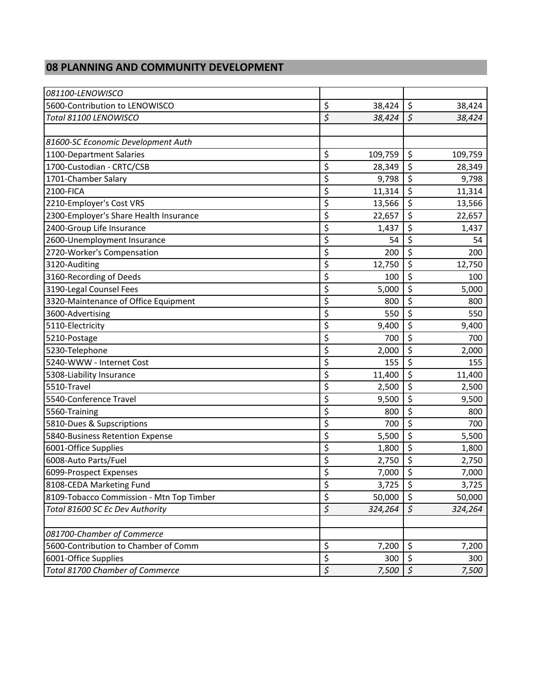#### **08 PLANNING AND COMMUNITY DEVELOPMENT**

| 081100-LENOWISCO                         |                  |         |                                 |         |
|------------------------------------------|------------------|---------|---------------------------------|---------|
| 5600-Contribution to LENOWISCO           | \$               | 38,424  | $\zeta$                         | 38,424  |
| Total 81100 LENOWISCO                    | \$               | 38,424  | \$                              | 38,424  |
|                                          |                  |         |                                 |         |
| 81600-SC Economic Development Auth       |                  |         |                                 |         |
| 1100-Department Salaries                 | \$               | 109,759 | \$                              | 109,759 |
| 1700-Custodian - CRTC/CSB                | \$               | 28,349  | \$                              | 28,349  |
| 1701-Chamber Salary                      | \$               | 9,798   | \$                              | 9,798   |
| 2100-FICA                                | \$               | 11,314  | \$                              | 11,314  |
| 2210-Employer's Cost VRS                 | \$               | 13,566  | \$                              | 13,566  |
| 2300-Employer's Share Health Insurance   | \$               | 22,657  | $\overline{\boldsymbol{\zeta}}$ | 22,657  |
| 2400-Group Life Insurance                | \$               | 1,437   | \$                              | 1,437   |
| 2600-Unemployment Insurance              | \$               | 54      | \$                              | 54      |
| 2720-Worker's Compensation               | \$               | 200     | \$                              | 200     |
| 3120-Auditing                            | \$               | 12,750  | \$                              | 12,750  |
| 3160-Recording of Deeds                  | \$               | 100     | $\overline{\xi}$                | 100     |
| 3190-Legal Counsel Fees                  | \$               | 5,000   | \$                              | 5,000   |
| 3320-Maintenance of Office Equipment     | \$               | 800     | \$                              | 800     |
| 3600-Advertising                         | \$               | 550     | $\overline{\xi}$                | 550     |
| 5110-Electricity                         | \$               | 9,400   | \$                              | 9,400   |
| 5210-Postage                             | \$               | 700     | \$                              | 700     |
| 5230-Telephone                           | \$               | 2,000   | $\overline{\mathcal{S}}$        | 2,000   |
| 5240-WWW - Internet Cost                 | \$               | 155     | \$                              | 155     |
| 5308-Liability Insurance                 | \$               | 11,400  | \$                              | 11,400  |
| 5510-Travel                              | \$               | 2,500   | \$                              | 2,500   |
| 5540-Conference Travel                   | \$               | 9,500   | \$                              | 9,500   |
| 5560-Training                            | \$               | 800     | \$                              | 800     |
| 5810-Dues & Supscriptions                | \$               | 700     | \$                              | 700     |
| 5840-Business Retention Expense          | \$               | 5,500   | \$                              | 5,500   |
| 6001-Office Supplies                     | \$               | 1,800   | \$                              | 1,800   |
| 6008-Auto Parts/Fuel                     | \$               | 2,750   | \$                              | 2,750   |
| 6099-Prospect Expenses                   | Ś                | 7,000   | $\zeta$                         | 7,000   |
| 8108-CEDA Marketing Fund                 | \$               | 3,725   | \$                              | 3,725   |
| 8109-Tobacco Commission - Mtn Top Timber | \$               | 50,000  | \$                              | 50,000  |
| Total 81600 SC Ec Dev Authority          | $\overline{\xi}$ | 324,264 | $\boldsymbol{\zeta}$            | 324,264 |
|                                          |                  |         |                                 |         |
| 081700-Chamber of Commerce               |                  |         |                                 |         |
| 5600-Contribution to Chamber of Comm     | \$               | 7,200   | \$                              | 7,200   |
| 6001-Office Supplies                     | \$               | 300     | \$                              | 300     |
| Total 81700 Chamber of Commerce          | \$               | 7,500   | $\boldsymbol{\zeta}$            | 7,500   |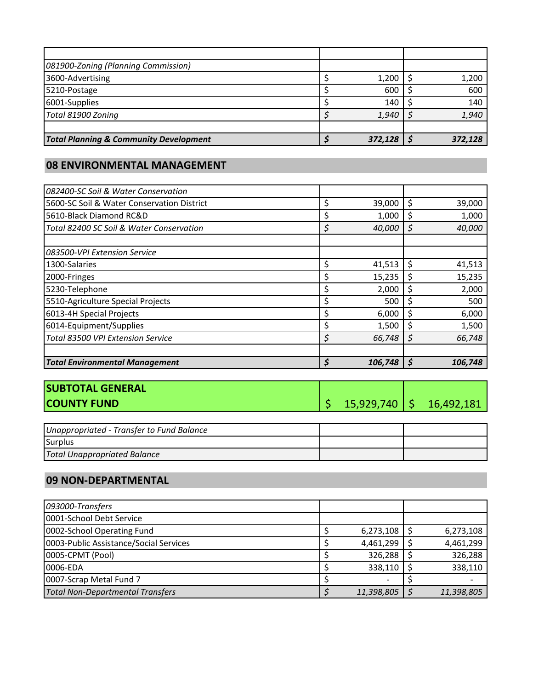| 081900-Zoning (Planning Commission)               |         |         |
|---------------------------------------------------|---------|---------|
| 3600-Advertising                                  | 1,200   | 1,200   |
| 5210-Postage                                      | 600     | 600     |
| 6001-Supplies                                     | 140     | 140     |
| Total 81900 Zoning                                | 1,940   | 1,940   |
|                                                   |         |         |
| <b>Total Planning &amp; Community Development</b> | 372,128 | 372,128 |

### **08 ENVIRONMENTAL MANAGEMENT**

| 082400-SC Soil & Water Conservation        |               |    |         |
|--------------------------------------------|---------------|----|---------|
| 5600-SC Soil & Water Conservation District | 39,000        | \$ | 39,000  |
| 5610-Black Diamond RC&D                    | \$<br>1,000   | S  | 1,000   |
| Total 82400 SC Soil & Water Conservation   | \$<br>40,000  | \$ | 40,000  |
|                                            |               |    |         |
| 083500-VPI Extension Service               |               |    |         |
| 1300-Salaries                              | \$<br>41,513  | \$ | 41,513  |
| 2000-Fringes                               | 15,235        | Ś  | 15,235  |
| 5230-Telephone                             | \$<br>2,000   | \$ | 2,000   |
| 5510-Agriculture Special Projects          | 500           | Ś  | 500     |
| 6013-4H Special Projects                   | 6,000         |    | 6,000   |
| 6014-Equipment/Supplies                    | 1,500         | S  | 1,500   |
| Total 83500 VPI Extension Service          | \$<br>66,748  | S  | 66,748  |
|                                            |               |    |         |
| <b>Total Environmental Management</b>      | \$<br>106,748 | Ś  | 106,748 |

| <b>SUBTOTAL GENERAL</b> |                   |            |
|-------------------------|-------------------|------------|
| <b>COUNTY FUND</b>      | $15,929,740$   \$ | 16,492,181 |

| Unappropriated - Transfer to Fund Balance |  |
|-------------------------------------------|--|
| Surplus                                   |  |
| <b>Total Unappropriated Balance</b>       |  |

#### **09 NON-DEPARTMENTAL**

| 093000-Transfers                        |  |            |            |
|-----------------------------------------|--|------------|------------|
| 0001-School Debt Service                |  |            |            |
| 0002-School Operating Fund              |  | 6,273,108  | 6,273,108  |
| 0003-Public Assistance/Social Services  |  | 4,461,299  | 4,461,299  |
| 0005-CPMT (Pool)                        |  | 326,288    | 326,288    |
| 0006-EDA                                |  | 338,110    | 338,110    |
| 0007-Scrap Metal Fund 7                 |  |            |            |
| <b>Total Non-Departmental Transfers</b> |  | 11,398,805 | 11,398,805 |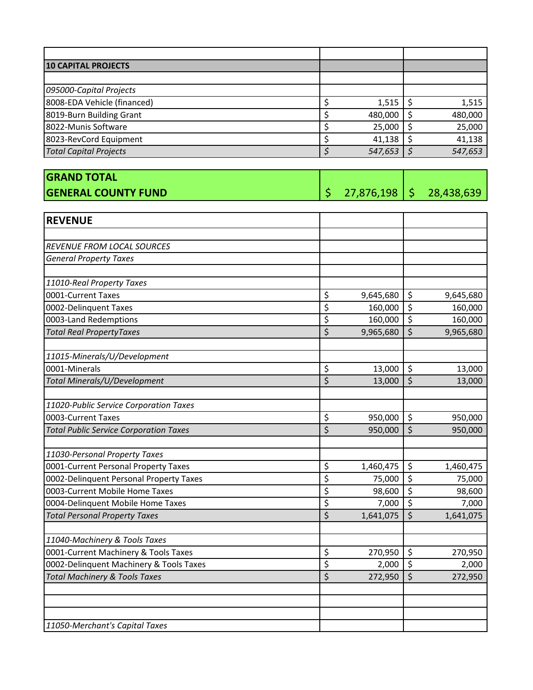| <b>10 CAPITAL PROJECTS</b>    |  |         |         |
|-------------------------------|--|---------|---------|
|                               |  |         |         |
| 095000-Capital Projects       |  |         |         |
| 8008-EDA Vehicle (financed)   |  | 1,515   | 1,515   |
| 8019-Burn Building Grant      |  | 480,000 | 480,000 |
| 8022-Munis Software           |  | 25,000  | 25,000  |
| 8023-RevCord Equipment        |  | 41,138  | 41,138  |
| <b>Total Capital Projects</b> |  | 547,653 | 547,653 |

| <b>GRAND TOTAL</b>         |                           |  |
|----------------------------|---------------------------|--|
| <b>GENERAL COUNTY FUND</b> | 27,876,198   \$28,438,639 |  |

| <b>REVENUE</b>                                |                                 |           |                         |           |
|-----------------------------------------------|---------------------------------|-----------|-------------------------|-----------|
|                                               |                                 |           |                         |           |
| <b>REVENUE FROM LOCAL SOURCES</b>             |                                 |           |                         |           |
| <b>General Property Taxes</b>                 |                                 |           |                         |           |
|                                               |                                 |           |                         |           |
| 11010-Real Property Taxes                     |                                 |           |                         |           |
| 0001-Current Taxes                            | \$                              | 9,645,680 | \$                      | 9,645,680 |
| 0002-Delinquent Taxes                         | $\overline{\boldsymbol{\zeta}}$ | 160,000   | $\overline{\xi}$        | 160,000   |
| 0003-Land Redemptions                         | \$                              | 160,000   | $\overline{\xi}$        | 160,000   |
| <b>Total Real PropertyTaxes</b>               | \$                              | 9,965,680 | $\overline{\mathsf{S}}$ | 9,965,680 |
| 11015-Minerals/U/Development                  |                                 |           |                         |           |
| 0001-Minerals                                 | \$                              | 13,000    | $\zeta$                 | 13,000    |
| Total Minerals/U/Development                  | $\overline{\xi}$                | 13,000    | $\overline{\xi}$        | 13,000    |
|                                               |                                 |           |                         |           |
| 11020-Public Service Corporation Taxes        |                                 |           |                         |           |
| 0003-Current Taxes                            | \$                              | 950,000   | \$                      | 950,000   |
| <b>Total Public Service Corporation Taxes</b> | $\overline{\mathsf{S}}$         | 950,000   | $\overline{\mathsf{S}}$ | 950,000   |
| 11030-Personal Property Taxes                 |                                 |           |                         |           |
| 0001-Current Personal Property Taxes          | \$                              | 1,460,475 | \$                      | 1,460,475 |
| 0002-Delinquent Personal Property Taxes       | \$                              | 75,000    | $\zeta$                 | 75,000    |
| 0003-Current Mobile Home Taxes                | \$                              | 98,600    | $\overline{\xi}$        | 98,600    |
| 0004-Delinquent Mobile Home Taxes             | \$                              | 7,000     | $\overline{\xi}$        | 7,000     |
| <b>Total Personal Property Taxes</b>          | \$                              | 1,641,075 | \$                      | 1,641,075 |
|                                               |                                 |           |                         |           |
| 11040-Machinery & Tools Taxes                 |                                 |           |                         |           |
| 0001-Current Machinery & Tools Taxes          | \$                              | 270,950   | $\zeta$                 | 270,950   |
| 0002-Delinquent Machinery & Tools Taxes       | \$                              | 2,000     | $\overline{\xi}$        | 2,000     |
| <b>Total Machinery &amp; Tools Taxes</b>      | $\overline{\xi}$                | 272,950   | $\overline{\xi}$        | 272,950   |
|                                               |                                 |           |                         |           |
|                                               |                                 |           |                         |           |
| 11050-Merchant's Capital Taxes                |                                 |           |                         |           |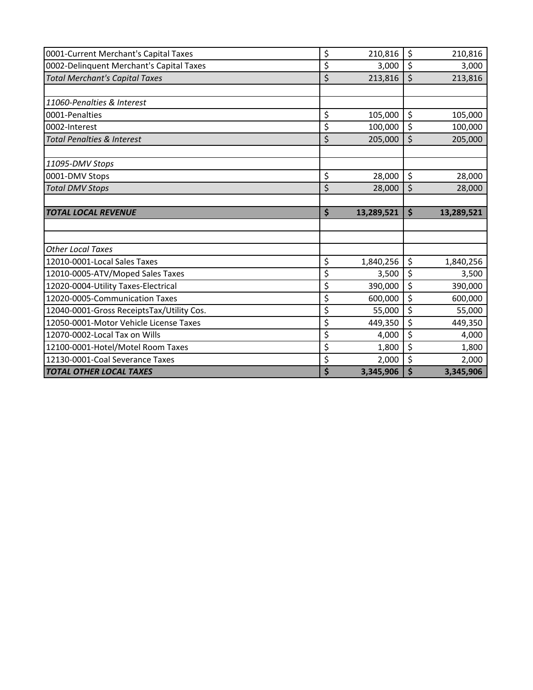| 0001-Current Merchant's Capital Taxes     | \$<br>210,816    | \$                 | 210,816    |
|-------------------------------------------|------------------|--------------------|------------|
|                                           |                  |                    |            |
| 0002-Delinquent Merchant's Capital Taxes  | \$<br>3,000      | \$                 | 3,000      |
| <b>Total Merchant's Capital Taxes</b>     | \$<br>213,816    | \$                 | 213,816    |
|                                           |                  |                    |            |
| 11060-Penalties & Interest                |                  |                    |            |
| 0001-Penalties                            | \$<br>105,000    | \$                 | 105,000    |
| 0002-Interest                             | \$<br>100,000    | \$                 | 100,000    |
| <b>Total Penalties &amp; Interest</b>     | \$<br>205,000    | \$                 | 205,000    |
|                                           |                  |                    |            |
| 11095-DMV Stops                           |                  |                    |            |
| 0001-DMV Stops                            | \$<br>28,000     | \$                 | 28,000     |
| <b>Total DMV Stops</b>                    | \$<br>28,000     | \$                 | 28,000     |
|                                           |                  |                    |            |
| <b>TOTAL LOCAL REVENUE</b>                | \$<br>13,289,521 | $\dot{\mathsf{S}}$ | 13,289,521 |
|                                           |                  |                    |            |
|                                           |                  |                    |            |
| <b>Other Local Taxes</b>                  |                  |                    |            |
| 12010-0001-Local Sales Taxes              | \$<br>1,840,256  | \$                 | 1,840,256  |
| 12010-0005-ATV/Moped Sales Taxes          | \$<br>3,500      | \$                 | 3,500      |
| 12020-0004-Utility Taxes-Electrical       | \$<br>390,000    | \$                 | 390,000    |
| 12020-0005-Communication Taxes            | \$<br>600,000    | \$                 | 600,000    |
| 12040-0001-Gross ReceiptsTax/Utility Cos. | \$<br>55,000     | \$                 | 55,000     |
|                                           |                  |                    |            |
| 12050-0001-Motor Vehicle License Taxes    | \$<br>449,350    | \$                 | 449,350    |
| 12070-0002-Local Tax on Wills             | \$<br>4,000      | \$                 | 4,000      |
| 12100-0001-Hotel/Motel Room Taxes         | \$<br>1,800      | \$                 | 1,800      |
| 12130-0001-Coal Severance Taxes           | \$<br>2,000      | \$                 | 2,000      |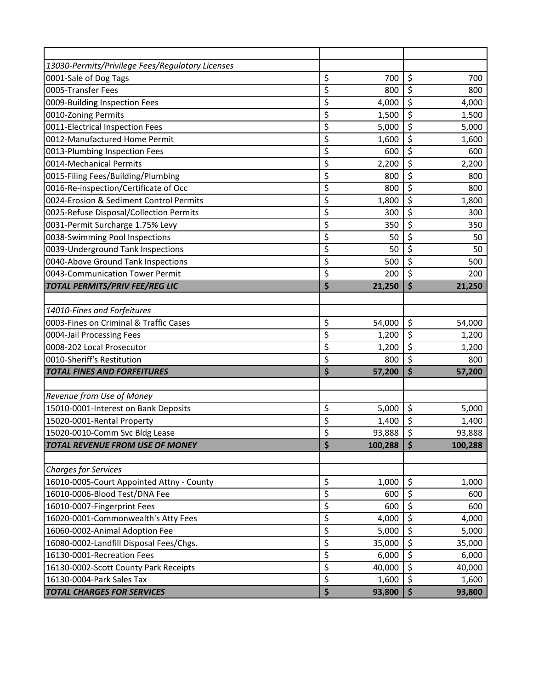| 13030-Permits/Privilege Fees/Regulatory Licenses |               |                         |         |
|--------------------------------------------------|---------------|-------------------------|---------|
| 0001-Sale of Dog Tags                            | \$<br>700     | \$                      | 700     |
| 0005-Transfer Fees                               | \$<br>800     | \$                      | 800     |
| 0009-Building Inspection Fees                    | \$<br>4,000   | \$                      | 4,000   |
| 0010-Zoning Permits                              | \$<br>1,500   | $\overline{\mathsf{S}}$ | 1,500   |
| 0011-Electrical Inspection Fees                  | \$<br>5,000   | \$                      | 5,000   |
| 0012-Manufactured Home Permit                    | \$<br>1,600   | \$                      | 1,600   |
| 0013-Plumbing Inspection Fees                    | \$<br>600     | $\overline{\mathsf{S}}$ | 600     |
| 0014-Mechanical Permits                          | \$<br>2,200   | \$                      | 2,200   |
| 0015-Filing Fees/Building/Plumbing               | \$<br>800     | \$                      | 800     |
| 0016-Re-inspection/Certificate of Occ            | \$<br>800     | \$                      | 800     |
| 0024-Erosion & Sediment Control Permits          | \$<br>1,800   | \$                      | 1,800   |
| 0025-Refuse Disposal/Collection Permits          | \$<br>300     | $\overline{\xi}$        | 300     |
| 0031-Permit Surcharge 1.75% Levy                 | \$<br>350     | \$                      | 350     |
| 0038-Swimming Pool Inspections                   | \$<br>50      | \$                      | 50      |
| 0039-Underground Tank Inspections                | \$<br>50      | \$                      | 50      |
| 0040-Above Ground Tank Inspections               | \$<br>500     | \$                      | 500     |
| 0043-Communication Tower Permit                  | \$<br>200     | \$                      | 200     |
| <b>TOTAL PERMITS/PRIV FEE/REG LIC</b>            | \$<br>21,250  | \$                      | 21,250  |
|                                                  |               |                         |         |
| 14010-Fines and Forfeitures                      |               |                         |         |
| 0003-Fines on Criminal & Traffic Cases           | \$<br>54,000  | \$                      | 54,000  |
| 0004-Jail Processing Fees                        | \$<br>1,200   | \$                      | 1,200   |
| 0008-202 Local Prosecutor                        | \$<br>1,200   | \$                      | 1,200   |
| 0010-Sheriff's Restitution                       | \$<br>800     | \$                      | 800     |
| <b>TOTAL FINES AND FORFEITURES</b>               | \$<br>57,200  | \$                      | 57,200  |
|                                                  |               |                         |         |
| Revenue from Use of Money                        |               |                         |         |
| 15010-0001-Interest on Bank Deposits             | \$<br>5,000   | \$                      | 5,000   |
| 15020-0001-Rental Property                       | \$<br>1,400   | \$                      | 1,400   |
| 15020-0010-Comm Svc Bldg Lease                   | \$<br>93,888  | \$                      | 93,888  |
| <b>TOTAL REVENUE FROM USE OF MONEY</b>           | \$<br>100,288 | $\ddot{\bm{\zeta}}$     | 100,288 |
|                                                  |               |                         |         |
| <b>Charges for Services</b>                      |               |                         |         |
| 16010-0005-Court Appointed Attny - County        | \$<br>1,000   | \$                      | 1,000   |
| 16010-0006-Blood Test/DNA Fee                    | \$<br>600     | \$                      | 600     |
| 16010-0007-Fingerprint Fees                      | \$<br>600     | \$                      | 600     |
| 16020-0001-Commonwealth's Atty Fees              | \$<br>4,000   | $\overline{\varsigma}$  | 4,000   |
| 16060-0002-Animal Adoption Fee                   | \$<br>5,000   | \$                      | 5,000   |
| 16080-0002-Landfill Disposal Fees/Chgs.          | \$<br>35,000  | \$                      | 35,000  |
| 16130-0001-Recreation Fees                       | \$<br>6,000   | \$                      | 6,000   |
| 16130-0002-Scott County Park Receipts            | \$<br>40,000  | \$                      | 40,000  |
| 16130-0004-Park Sales Tax                        | \$<br>1,600   | \$                      | 1,600   |
| <b>TOTAL CHARGES FOR SERVICES</b>                | \$<br>93,800  | \$                      | 93,800  |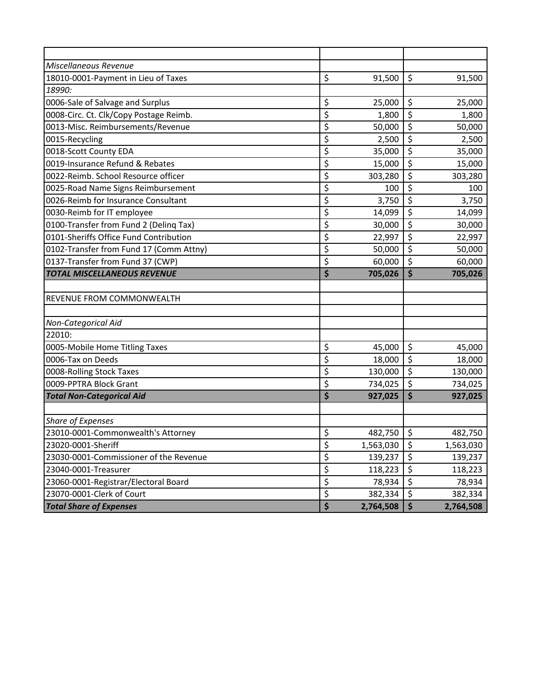| Miscellaneous Revenue                   |                                       |           |                         |           |
|-----------------------------------------|---------------------------------------|-----------|-------------------------|-----------|
| 18010-0001-Payment in Lieu of Taxes     | \$                                    | 91,500    | \$                      | 91,500    |
| 18990:                                  |                                       |           |                         |           |
| 0006-Sale of Salvage and Surplus        | \$                                    | 25,000    | \$                      | 25,000    |
| 0008-Circ. Ct. Clk/Copy Postage Reimb.  | \$                                    | 1,800     | \$                      | 1,800     |
| 0013-Misc. Reimbursements/Revenue       | \$                                    | 50,000    | \$                      | 50,000    |
| 0015-Recycling                          | \$                                    | 2,500     | \$                      | 2,500     |
| 0018-Scott County EDA                   | \$                                    | 35,000    | \$                      | 35,000    |
| 0019-Insurance Refund & Rebates         | \$                                    | 15,000    | \$                      | 15,000    |
| 0022-Reimb. School Resource officer     | \$                                    | 303,280   | \$                      | 303,280   |
| 0025-Road Name Signs Reimbursement      | \$                                    | 100       | \$                      | 100       |
| 0026-Reimb for Insurance Consultant     | \$                                    | 3,750     | \$                      | 3,750     |
| 0030-Reimb for IT employee              | \$                                    | 14,099    | \$                      | 14,099    |
| 0100-Transfer from Fund 2 (Deling Tax)  | \$                                    | 30,000    | \$                      | 30,000    |
| 0101-Sheriffs Office Fund Contribution  | \$                                    | 22,997    | \$                      | 22,997    |
| 0102-Transfer from Fund 17 (Comm Attny) | \$                                    | 50,000    | \$                      | 50,000    |
| 0137-Transfer from Fund 37 (CWP)        | \$                                    | 60,000    | \$                      | 60,000    |
| <b>TOTAL MISCELLANEOUS REVENUE</b>      | \$                                    | 705,026   | \$                      | 705,026   |
|                                         |                                       |           |                         |           |
| REVENUE FROM COMMONWEALTH               |                                       |           |                         |           |
|                                         |                                       |           |                         |           |
| Non-Categorical Aid                     |                                       |           |                         |           |
| 22010:                                  |                                       |           |                         |           |
| 0005-Mobile Home Titling Taxes          | \$                                    | 45,000    | \$                      | 45,000    |
| 0006-Tax on Deeds                       | \$                                    | 18,000    | \$                      | 18,000    |
| 0008-Rolling Stock Taxes                | \$                                    | 130,000   | $\overline{\mathsf{S}}$ | 130,000   |
| 0009-PPTRA Block Grant                  | \$                                    | 734,025   | \$                      | 734,025   |
| <b>Total Non-Categorical Aid</b>        | \$                                    | 927,025   | \$                      | 927,025   |
|                                         |                                       |           |                         |           |
| <b>Share of Expenses</b>                |                                       |           |                         |           |
| 23010-0001-Commonwealth's Attorney      | \$                                    | 482,750   | $\zeta$                 | 482,750   |
| 23020-0001-Sheriff                      | \$                                    | 1,563,030 | \$                      | 1,563,030 |
| 23030-0001-Commissioner of the Revenue  | \$                                    | 139,237   | \$                      | 139,237   |
| 23040-0001-Treasurer                    | \$                                    | 118,223   | \$                      | 118,223   |
|                                         |                                       |           |                         |           |
| 23060-0001-Registrar/Electoral Board    | \$                                    | 78,934    | \$                      | 78,934    |
| 23070-0001-Clerk of Court               | \$<br>$\overline{\boldsymbol{\zeta}}$ | 382,334   | \$                      | 382,334   |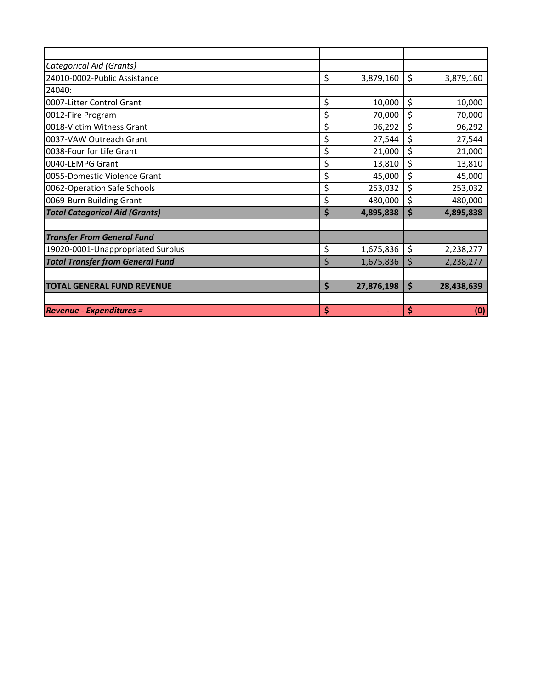| Categorical Aid (Grants)                |                  |                  |
|-----------------------------------------|------------------|------------------|
| 24010-0002-Public Assistance            | \$<br>3,879,160  | \$<br>3,879,160  |
| 24040:                                  |                  |                  |
| 0007-Litter Control Grant               | \$<br>10,000     | \$<br>10,000     |
| 0012-Fire Program                       | \$<br>70,000     | \$<br>70,000     |
| 0018-Victim Witness Grant               | \$<br>96,292     | \$<br>96,292     |
| 0037-VAW Outreach Grant                 | \$<br>27,544     | \$<br>27,544     |
| 0038-Four for Life Grant                | \$<br>21,000     | \$<br>21,000     |
| 0040-LEMPG Grant                        | \$<br>13,810     | \$<br>13,810     |
| 0055-Domestic Violence Grant            | \$<br>45,000     | \$<br>45,000     |
| 0062-Operation Safe Schools             | \$<br>253,032    | \$<br>253,032    |
| 0069-Burn Building Grant                | \$<br>480,000    | \$<br>480,000    |
| <b>Total Categorical Aid (Grants)</b>   | \$<br>4,895,838  | \$<br>4,895,838  |
|                                         |                  |                  |
| <b>Transfer From General Fund</b>       |                  |                  |
| 19020-0001-Unappropriated Surplus       | \$<br>1,675,836  | \$<br>2,238,277  |
| <b>Total Transfer from General Fund</b> | \$<br>1,675,836  | \$<br>2,238,277  |
|                                         |                  |                  |
| <b>TOTAL GENERAL FUND REVENUE</b>       | \$<br>27,876,198 | \$<br>28,438,639 |
|                                         |                  |                  |
| <b>Revenue - Expenditures =</b>         | \$               | \$<br>(0)        |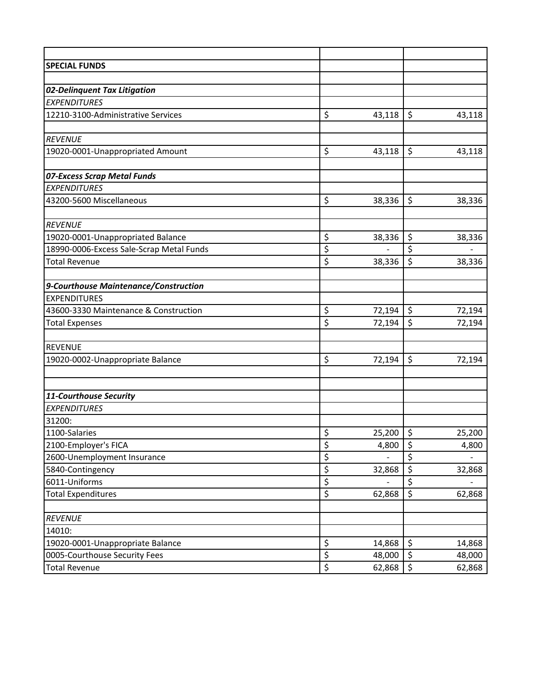| <b>SPECIAL FUNDS</b>                     |              |                          |        |
|------------------------------------------|--------------|--------------------------|--------|
|                                          |              |                          |        |
| 02-Delinquent Tax Litigation             |              |                          |        |
| <b>EXPENDITURES</b>                      |              |                          |        |
| 12210-3100-Administrative Services       | \$<br>43,118 | $\zeta$                  | 43,118 |
|                                          |              |                          |        |
| <b>REVENUE</b>                           |              |                          |        |
| 19020-0001-Unappropriated Amount         | \$<br>43,118 | $\zeta$                  | 43,118 |
|                                          |              |                          |        |
| 07-Excess Scrap Metal Funds              |              |                          |        |
| <b>EXPENDITURES</b>                      |              |                          |        |
| 43200-5600 Miscellaneous                 | \$<br>38,336 | \$                       | 38,336 |
| <b>REVENUE</b>                           |              |                          |        |
| 19020-0001-Unappropriated Balance        | \$<br>38,336 | \$                       | 38,336 |
| 18990-0006-Excess Sale-Scrap Metal Funds | \$           | \$                       |        |
| <b>Total Revenue</b>                     | \$<br>38,336 | $\zeta$                  | 38,336 |
|                                          |              |                          |        |
| 9-Courthouse Maintenance/Construction    |              |                          |        |
| <b>EXPENDITURES</b>                      |              |                          |        |
| 43600-3330 Maintenance & Construction    | \$<br>72,194 | \$                       | 72,194 |
| <b>Total Expenses</b>                    | \$<br>72,194 | $\overline{\mathcal{S}}$ | 72,194 |
|                                          |              |                          |        |
| <b>REVENUE</b>                           |              |                          |        |
| 19020-0002-Unappropriate Balance         | \$<br>72,194 | $\zeta$                  | 72,194 |
| 11-Courthouse Security                   |              |                          |        |
| <b>EXPENDITURES</b>                      |              |                          |        |
| 31200:                                   |              |                          |        |
| 1100-Salaries                            | \$<br>25,200 | $\zeta$                  | 25,200 |
| 2100-Employer's FICA                     | \$<br>4,800  | \$                       | 4,800  |
| 2600-Unemployment Insurance              | \$           | \$                       |        |
| 5840-Contingency                         | \$<br>32,868 | \$                       | 32,868 |
| 6011-Uniforms                            | \$           | \$                       |        |
| <b>Total Expenditures</b>                | \$<br>62,868 | \$                       | 62,868 |
|                                          |              |                          |        |
| <b>REVENUE</b>                           |              |                          |        |
| 14010:                                   |              |                          |        |
| 19020-0001-Unappropriate Balance         | \$<br>14,868 | \$                       | 14,868 |
| 0005-Courthouse Security Fees            | \$<br>48,000 | \$                       | 48,000 |
| <b>Total Revenue</b>                     | \$<br>62,868 | \$                       | 62,868 |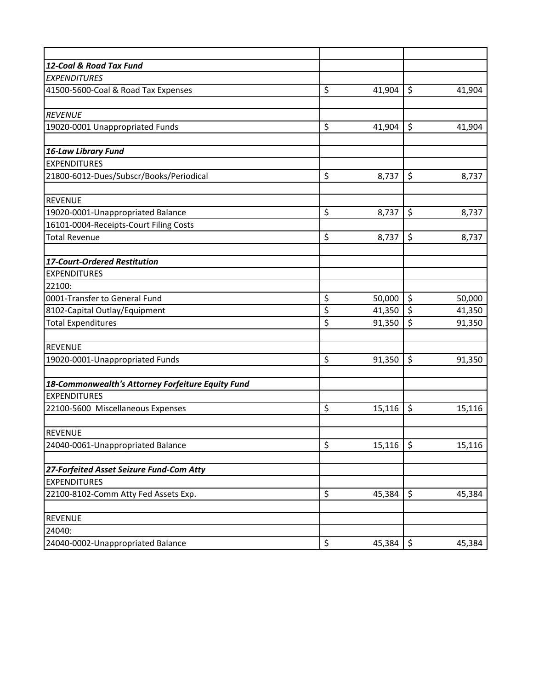| 12-Coal & Road Tax Fund                           |              |                         |        |
|---------------------------------------------------|--------------|-------------------------|--------|
| <b>EXPENDITURES</b>                               |              |                         |        |
| 41500-5600-Coal & Road Tax Expenses               | \$<br>41,904 | \$                      | 41,904 |
|                                                   |              |                         |        |
| <b>REVENUE</b>                                    |              |                         |        |
| 19020-0001 Unappropriated Funds                   | \$<br>41,904 | \$                      | 41,904 |
|                                                   |              |                         |        |
| <b>16-Law Library Fund</b>                        |              |                         |        |
| <b>EXPENDITURES</b>                               |              |                         |        |
| 21800-6012-Dues/Subscr/Books/Periodical           | \$<br>8,737  | \$                      | 8,737  |
|                                                   |              |                         |        |
| <b>REVENUE</b>                                    |              |                         |        |
| 19020-0001-Unappropriated Balance                 | \$<br>8,737  | \$                      | 8,737  |
| 16101-0004-Receipts-Court Filing Costs            |              |                         |        |
| <b>Total Revenue</b>                              | \$<br>8,737  | \$                      | 8,737  |
|                                                   |              |                         |        |
| 17-Court-Ordered Restitution                      |              |                         |        |
| <b>EXPENDITURES</b>                               |              |                         |        |
| 22100:                                            |              |                         |        |
| 0001-Transfer to General Fund                     | \$<br>50,000 | \$                      | 50,000 |
| 8102-Capital Outlay/Equipment                     | \$<br>41,350 | \$                      | 41,350 |
| <b>Total Expenditures</b>                         | \$<br>91,350 | $\overline{\mathsf{S}}$ | 91,350 |
|                                                   |              |                         |        |
| <b>REVENUE</b>                                    |              |                         |        |
| 19020-0001-Unappropriated Funds                   | \$<br>91,350 | \$                      | 91,350 |
|                                                   |              |                         |        |
| 18-Commonwealth's Attorney Forfeiture Equity Fund |              |                         |        |
| <b>EXPENDITURES</b>                               |              |                         |        |
| 22100-5600 Miscellaneous Expenses                 | \$<br>15,116 | \$                      | 15,116 |
|                                                   |              |                         |        |
| <b>REVENUE</b>                                    |              |                         |        |
| 24040-0061-Unappropriated Balance                 | \$<br>15,116 | \$                      | 15,116 |
|                                                   |              |                         |        |
| 27-Forfeited Asset Seizure Fund-Com Atty          |              |                         |        |
| <b>EXPENDITURES</b>                               |              |                         |        |
| 22100-8102-Comm Atty Fed Assets Exp.              | \$<br>45,384 | \$                      | 45,384 |
|                                                   |              |                         |        |
| <b>REVENUE</b>                                    |              |                         |        |
| 24040:                                            |              |                         |        |
| 24040-0002-Unappropriated Balance                 | \$<br>45,384 | \$                      | 45,384 |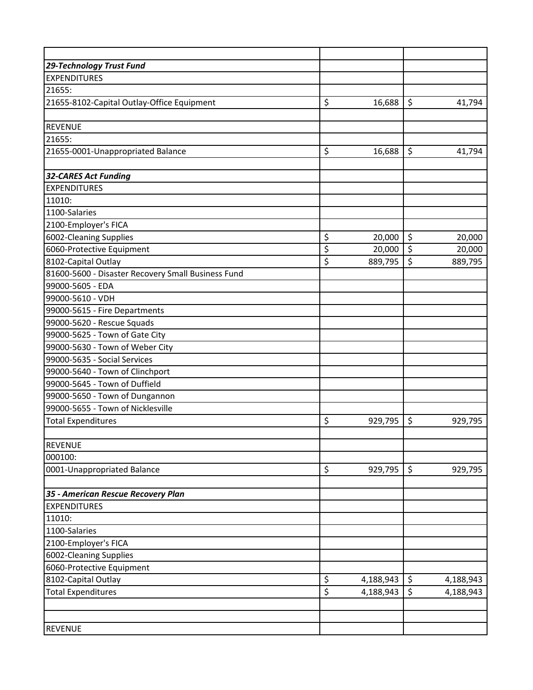| 29-Technology Trust Fund                           |                        |           |                 |
|----------------------------------------------------|------------------------|-----------|-----------------|
| <b>EXPENDITURES</b>                                |                        |           |                 |
| 21655:                                             |                        |           |                 |
| 21655-8102-Capital Outlay-Office Equipment         | \$                     | 16,688    | \$<br>41,794    |
|                                                    |                        |           |                 |
| <b>REVENUE</b>                                     |                        |           |                 |
| 21655:                                             |                        |           |                 |
| 21655-0001-Unappropriated Balance                  | \$                     | 16,688    | \$<br>41,794    |
|                                                    |                        |           |                 |
| <b>32-CARES Act Funding</b>                        |                        |           |                 |
| <b>EXPENDITURES</b>                                |                        |           |                 |
| 11010:                                             |                        |           |                 |
| 1100-Salaries                                      |                        |           |                 |
| 2100-Employer's FICA                               |                        |           |                 |
| 6002-Cleaning Supplies                             | \$                     | 20,000    | \$<br>20,000    |
| 6060-Protective Equipment                          | \$                     | 20,000    | \$<br>20,000    |
| 8102-Capital Outlay                                | \$                     | 889,795   | \$<br>889,795   |
| 81600-5600 - Disaster Recovery Small Business Fund |                        |           |                 |
| 99000-5605 - EDA                                   |                        |           |                 |
| 99000-5610 - VDH                                   |                        |           |                 |
| 99000-5615 - Fire Departments                      |                        |           |                 |
| 99000-5620 - Rescue Squads                         |                        |           |                 |
| 99000-5625 - Town of Gate City                     |                        |           |                 |
| 99000-5630 - Town of Weber City                    |                        |           |                 |
| 99000-5635 - Social Services                       |                        |           |                 |
| 99000-5640 - Town of Clinchport                    |                        |           |                 |
| 99000-5645 - Town of Duffield                      |                        |           |                 |
| 99000-5650 - Town of Dungannon                     |                        |           |                 |
| 99000-5655 - Town of Nicklesville                  |                        |           |                 |
| <b>Total Expenditures</b>                          | \$                     | 929,795   | \$<br>929,795   |
|                                                    |                        |           |                 |
| <b>REVENUE</b>                                     |                        |           |                 |
| 000100:                                            |                        |           |                 |
| 0001-Unappropriated Balance                        | \$                     | 929,795   | \$<br>929,795   |
|                                                    |                        |           |                 |
| 35 - American Rescue Recovery Plan                 |                        |           |                 |
| <b>EXPENDITURES</b>                                |                        |           |                 |
| 11010:                                             |                        |           |                 |
| 1100-Salaries                                      |                        |           |                 |
| 2100-Employer's FICA                               |                        |           |                 |
| 6002-Cleaning Supplies                             |                        |           |                 |
| 6060-Protective Equipment                          |                        |           |                 |
| 8102-Capital Outlay                                | \$                     | 4,188,943 | \$<br>4,188,943 |
| <b>Total Expenditures</b>                          | $\overline{\varsigma}$ | 4,188,943 | \$<br>4,188,943 |
|                                                    |                        |           |                 |
|                                                    |                        |           |                 |
| <b>REVENUE</b>                                     |                        |           |                 |
|                                                    |                        |           |                 |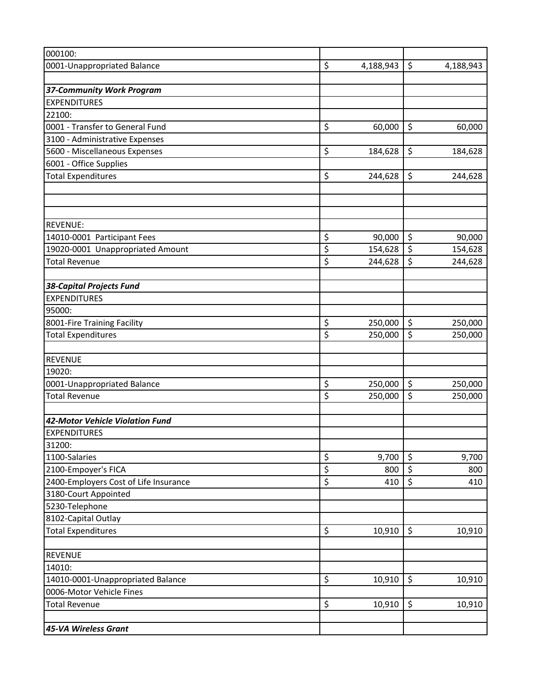| 000100:                               |                 |                          |           |
|---------------------------------------|-----------------|--------------------------|-----------|
| 0001-Unappropriated Balance           | \$<br>4,188,943 | \$                       | 4,188,943 |
|                                       |                 |                          |           |
| <b>37-Community Work Program</b>      |                 |                          |           |
| <b>EXPENDITURES</b>                   |                 |                          |           |
| 22100:                                |                 |                          |           |
| 0001 - Transfer to General Fund       | \$<br>60,000    | \$                       | 60,000    |
| 3100 - Administrative Expenses        |                 |                          |           |
| 5600 - Miscellaneous Expenses         | \$<br>184,628   | \$                       | 184,628   |
| 6001 - Office Supplies                |                 |                          |           |
| <b>Total Expenditures</b>             | \$<br>244,628   | \$                       | 244,628   |
|                                       |                 |                          |           |
| <b>REVENUE:</b>                       |                 |                          |           |
| 14010-0001 Participant Fees           | \$<br>90,000    | \$                       | 90,000    |
| 19020-0001 Unappropriated Amount      | \$<br>154,628   | $\overline{\mathcal{S}}$ | 154,628   |
| <b>Total Revenue</b>                  | \$<br>244,628   | \$                       | 244,628   |
| <b>38-Capital Projects Fund</b>       |                 |                          |           |
| <b>EXPENDITURES</b>                   |                 |                          |           |
| 95000:                                |                 |                          |           |
| 8001-Fire Training Facility           | \$<br>250,000   | \$                       | 250,000   |
| <b>Total Expenditures</b>             | \$<br>250,000   | \$                       | 250,000   |
| <b>REVENUE</b>                        |                 |                          |           |
| 19020:                                |                 |                          |           |
| 0001-Unappropriated Balance           | \$<br>250,000   | \$                       | 250,000   |
| <b>Total Revenue</b>                  | \$<br>250,000   | $\overline{\xi}$         | 250,000   |
| 42-Motor Vehicle Violation Fund       |                 |                          |           |
| <b>EXPENDITURES</b>                   |                 |                          |           |
| 31200:                                |                 |                          |           |
| 1100-Salaries                         | \$<br>9,700     | \$                       | 9,700     |
| 2100-Empoyer's FICA                   | \$<br>800       | \$                       | 800       |
| 2400-Employers Cost of Life Insurance | \$<br>410       | \$                       | 410       |
| 3180-Court Appointed                  |                 |                          |           |
| 5230-Telephone                        |                 |                          |           |
| 8102-Capital Outlay                   |                 |                          |           |
| <b>Total Expenditures</b>             | \$<br>10,910    | $\zeta$                  | 10,910    |
| <b>REVENUE</b>                        |                 |                          |           |
| 14010:                                |                 |                          |           |
| 14010-0001-Unappropriated Balance     | \$<br>10,910    | $\zeta$                  | 10,910    |
| 0006-Motor Vehicle Fines              |                 |                          |           |
| <b>Total Revenue</b>                  | \$<br>10,910    | $\zeta$                  | 10,910    |
| 45-VA Wireless Grant                  |                 |                          |           |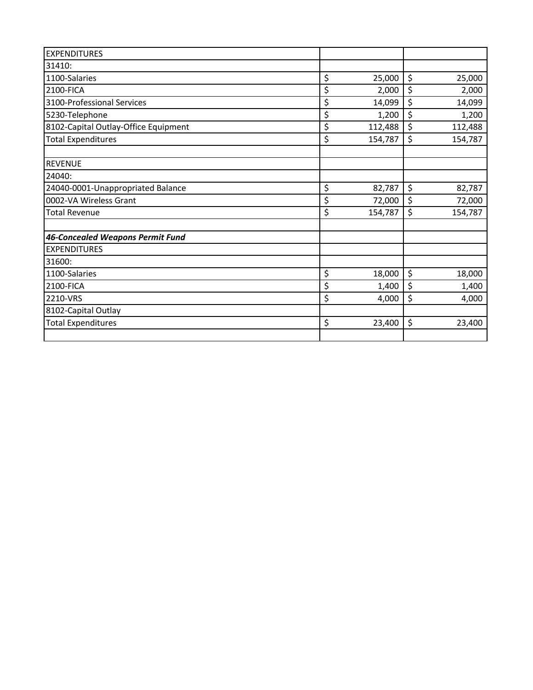| <b>EXPENDITURES</b>                  |               |               |
|--------------------------------------|---------------|---------------|
| 31410:                               |               |               |
| 1100-Salaries                        | \$<br>25,000  | \$<br>25,000  |
| 2100-FICA                            | \$<br>2,000   | \$<br>2,000   |
| 3100-Professional Services           | \$<br>14,099  | \$<br>14,099  |
| 5230-Telephone                       | \$<br>1,200   | \$<br>1,200   |
| 8102-Capital Outlay-Office Equipment | \$<br>112,488 | \$<br>112,488 |
| <b>Total Expenditures</b>            | \$<br>154,787 | \$<br>154,787 |
| <b>REVENUE</b>                       |               |               |
| 24040:                               |               |               |
| 24040-0001-Unappropriated Balance    | \$<br>82,787  | \$<br>82,787  |
| 0002-VA Wireless Grant               | \$<br>72,000  | \$<br>72,000  |
| <b>Total Revenue</b>                 | \$<br>154,787 | \$<br>154,787 |
| 46-Concealed Weapons Permit Fund     |               |               |
| <b>EXPENDITURES</b>                  |               |               |
| 31600:                               |               |               |
| 1100-Salaries                        | \$<br>18,000  | \$<br>18,000  |
| 2100-FICA                            | \$<br>1,400   | \$<br>1,400   |
| 2210-VRS                             | \$<br>4,000   | \$<br>4,000   |
| 8102-Capital Outlay                  |               |               |
| <b>Total Expenditures</b>            | \$<br>23,400  | \$<br>23,400  |
|                                      |               |               |